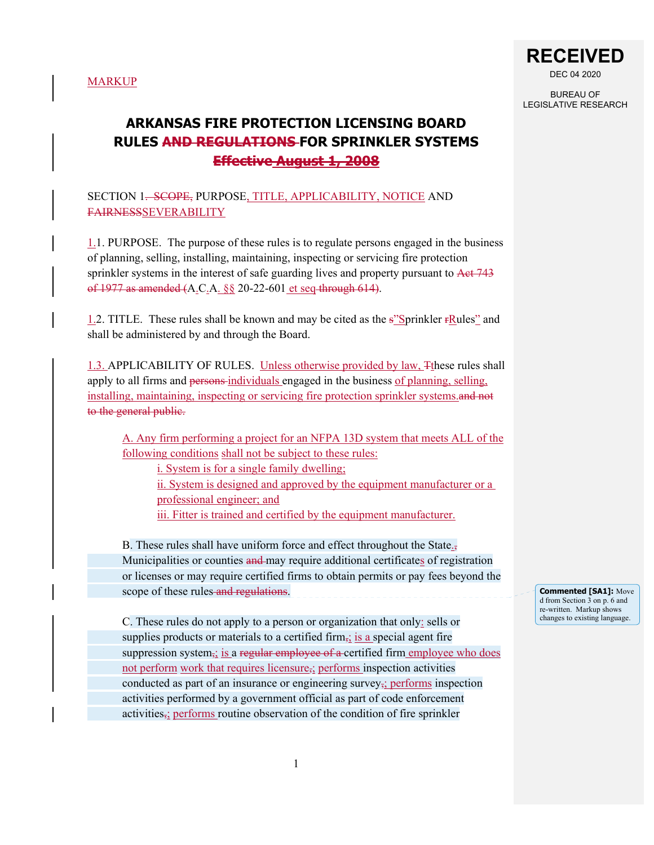

BUREAU OF LEGISLATIVE RESEARCH

# **ARKANSAS FIRE PROTECTION LICENSING BOARD RULES AND REGULATIONS FOR SPRINKLER SYSTEMS Effective August 1, 2008**

SECTION 1<del>. SCOPE,</del> PURPOSE, TITLE, APPLICABILITY, NOTICE AND FAIRNESSSEVERABILITY

1.1. PURPOSE. The purpose of these rules is to regulate persons engaged in the business of planning, selling, installing, maintaining, inspecting or servicing fire protection sprinkler systems in the interest of safe guarding lives and property pursuant to Act 743 of 1977 as amended (A.C.A. §§ 20-22-601 et seq through 614).

1.2. TITLE. These rules shall be known and may be cited as the  $s^2$ Sprinkler  $rRules^2$  and shall be administered by and through the Board.

1.3. APPLICABILITY OF RULES. Unless otherwise provided by law, Tthese rules shall apply to all firms and persons-individuals engaged in the business of planning, selling, installing, maintaining, inspecting or servicing fire protection sprinkler systems. to the general public.

A. Any firm performing a project for an NFPA 13D system that meets ALL of the following conditions shall not be subject to these rules:

i. System is for a single family dwelling; ii. System is designed and approved by the equipment manufacturer or a professional engineer; and iii. Fitter is trained and certified by the equipment manufacturer.

B. These rules shall have uniform force and effect throughout the State. $\mathbf{s}$ Municipalities or counties and may require additional certificates of registration or licenses or may require certified firms to obtain permits or pay fees beyond the scope of these rules and regulations.

C. These rules do not apply to a person or organization that only: sells or supplies products or materials to a certified firm,; is a special agent fire suppression system, is a regular employee of a certified firm employee who does not perform work that requires licensure,; performs inspection activities conducted as part of an insurance or engineering survey,; performs inspection activities performed by a government official as part of code enforcement activities<sub>,</sub>; performs routine observation of the condition of fire sprinkler

**Commented [SA1]:** Move d from Section 3 on p. 6 and re-written. Markup shows changes to existing language.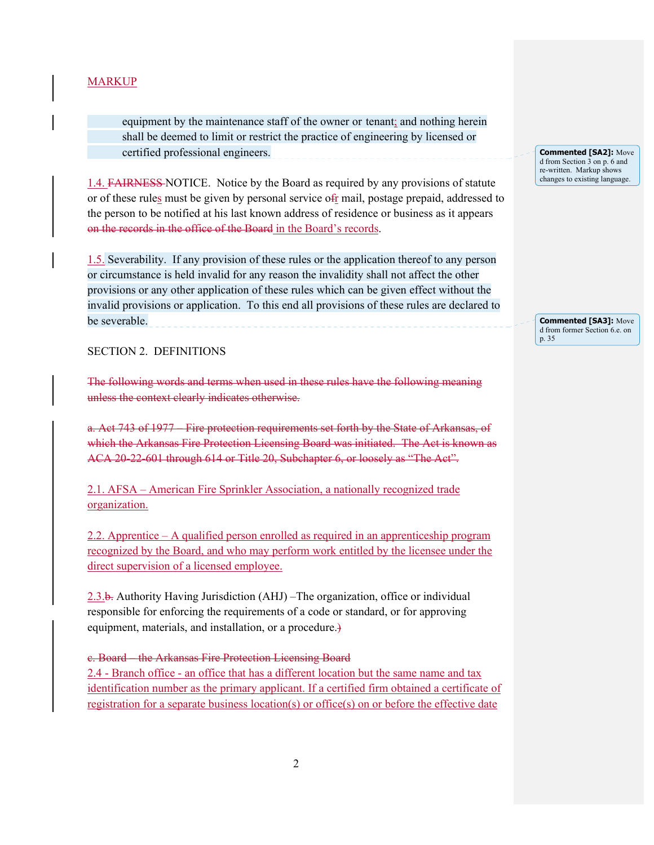equipment by the maintenance staff of the owner or tenant; and nothing herein shall be deemed to limit or restrict the practice of engineering by licensed or certified professional engineers.

1.4. FAIRNESS NOTICE. Notice by the Board as required by any provisions of statute or of these rules must be given by personal service ofr mail, postage prepaid, addressed to the person to be notified at his last known address of residence or business as it appears on the records in the office of the Board in the Board's records.

1.5. Severability. If any provision of these rules or the application thereof to any person or circumstance is held invalid for any reason the invalidity shall not affect the other provisions or any other application of these rules which can be given effect without the invalid provisions or application. To this end all provisions of these rules are declared to be severable.

SECTION 2. DEFINITIONS

The following words and terms when used in these rules have the following meaning unless the context clearly indicates otherwise.

a. Act 743 of 1977 – Fire protection requirements set forth by the State of Arkansas, of which the Arkansas Fire Protection Licensing Board was initiated. The Act is known as ACA 20-22-601 through 614 or Title 20, Subchapter 6, or loosely as "The Act".

2.1. AFSA – American Fire Sprinkler Association, a nationally recognized trade organization.

2.2. Apprentice – A qualified person enrolled as required in an apprenticeship program recognized by the Board, and who may perform work entitled by the licensee under the direct supervision of a licensed employee.

2.3.b. Authority Having Jurisdiction (AHJ) –The organization, office or individual responsible for enforcing the requirements of a code or standard, or for approving equipment, materials, and installation, or a procedure.)

c. Board – the Arkansas Fire Protection Licensing Board 2.4 - Branch office - an office that has a different location but the same name and tax identification number as the primary applicant. If a certified firm obtained a certificate of registration for a separate business location(s) or office(s) on or before the effective date

**Commented [SA2]:** Move d from Section 3 on p. 6 and re-written. Markup shows changes to existing language.

**Commented [SA3]:** Move d from former Section 6.e. on p. 35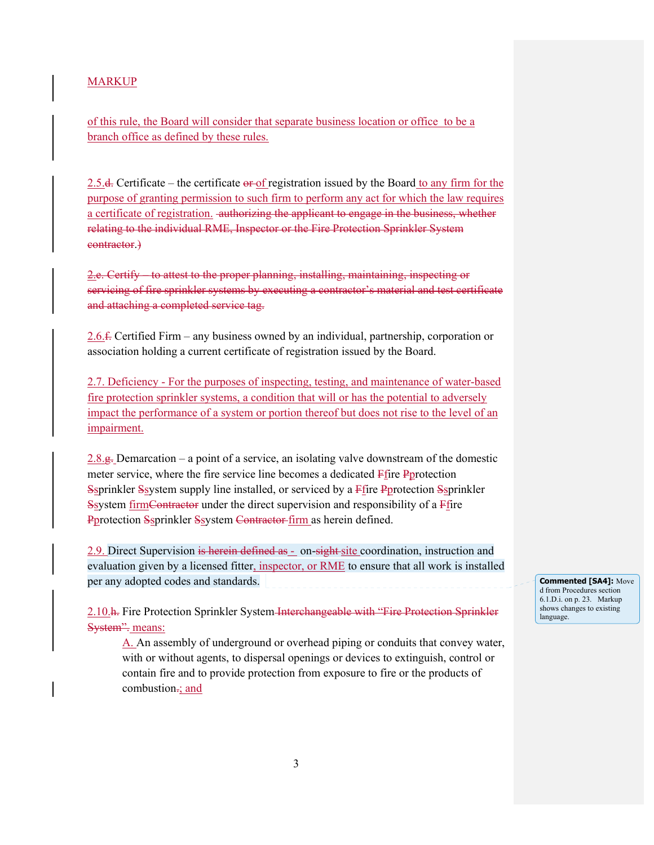of this rule, the Board will consider that separate business location or office to be a branch office as defined by these rules.

2.5. $\frac{1}{2}$ . Certificate – the certificate  $\frac{1}{2}$  of registration issued by the Board to any firm for the purpose of granting permission to such firm to perform any act for which the law requires a certificate of registration. authorizing the applicant to engage in the business, whether relating to the individual RME, Inspector or the Fire Protection Sprinkler System contractor.)

2.e. Certify – to attest to the proper planning, installing, maintaining, inspecting or servicing of fire sprinkler systems by executing a contractor's material and test certificate and attaching a completed service tag.

2.6.f. Certified Firm – any business owned by an individual, partnership, corporation or association holding a current certificate of registration issued by the Board.

2.7. Deficiency - For the purposes of inspecting, testing, and maintenance of water-based fire protection sprinkler systems, a condition that will or has the potential to adversely impact the performance of a system or portion thereof but does not rise to the level of an impairment.

2.8.g. Demarcation – a point of a service, an isolating valve downstream of the domestic meter service, where the fire service line becomes a dedicated Ffire Pprotection Ssprinkler Ssystem supply line installed, or serviced by a Ffire Pprotection Ssprinkler Ssystem firmContractor under the direct supervision and responsibility of a Ffire Pprotection Ssprinkler Ssystem Contractor firm as herein defined.

2.9. Direct Supervision is herein defined as - on-sight site coordination, instruction and evaluation given by a licensed fitter, inspector, or RME to ensure that all work is installed per any adopted codes and standards.

2.10.h. Fire Protection Sprinkler System Interchangeable with "Fire Protection Sprinkler System": means:

A. An assembly of underground or overhead piping or conduits that convey water, with or without agents, to dispersal openings or devices to extinguish, control or contain fire and to provide protection from exposure to fire or the products of combustion-; and

**Commented [SA4]:** Move d from Procedures section 6.1.D.i. on p. 23. Markup shows changes to existing language.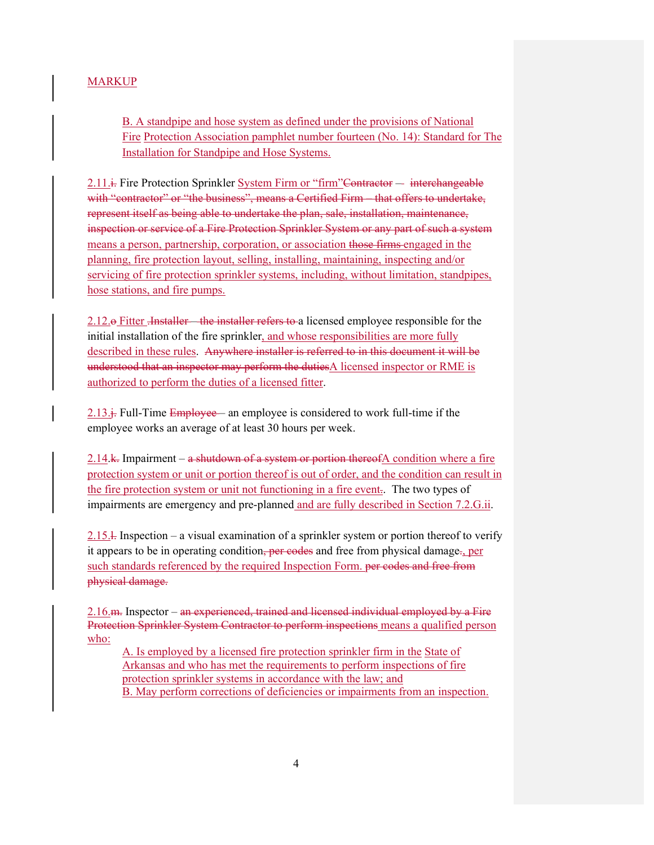B. A standpipe and hose system as defined under the provisions of National Fire Protection Association pamphlet number fourteen (No. 14): Standard for The Installation for Standpipe and Hose Systems.

2.11. Fire Protection Sprinkler System Firm or "firm"Contractor — interchangeable with "contractor" or "the business", means a Certified Firm – that offers to undertake, represent itself as being able to undertake the plan, sale, installation, maintenance, inspection or service of a Fire Protection Sprinkler System or any part of such a system means a person, partnership, corporation, or association those firms engaged in the planning, fire protection layout, selling, installing, maintaining, inspecting and/or servicing of fire protection sprinkler systems, including, without limitation, standpipes, hose stations, and fire pumps.

2.12. Pitter <del>.Installer – the installer refers to a</del> licensed employee responsible for the initial installation of the fire sprinkler, and whose responsibilities are more fully described in these rules. Anywhere installer is referred to in this document it will be understood that an inspector may perform the duties $A$  licensed inspector or RME is authorized to perform the duties of a licensed fitter.

2.13. $\div$  Full-Time Employee— an employee is considered to work full-time if the employee works an average of at least 30 hours per week.

2.14.k. Impairment –  $a$  shutdown of a system or portion thereof A condition where a fire protection system or unit or portion thereof is out of order, and the condition can result in the fire protection system or unit not functioning in a fire event.. The two types of impairments are emergency and pre-planned and are fully described in Section 7.2.G.ii.

2.15.<sup>1</sup>. Inspection – a visual examination of a sprinkler system or portion thereof to verify it appears to be in operating condition, per codes and free from physical damage., per such standards referenced by the required Inspection Form. per codes and free from physical damage.

2.16.m. Inspector – an experienced, trained and licensed individual employed by a Fire Protection Sprinkler System Contractor to perform inspections means a qualified person who:

A. Is employed by a licensed fire protection sprinkler firm in the State of Arkansas and who has met the requirements to perform inspections of fire protection sprinkler systems in accordance with the law; and B. May perform corrections of deficiencies or impairments from an inspection.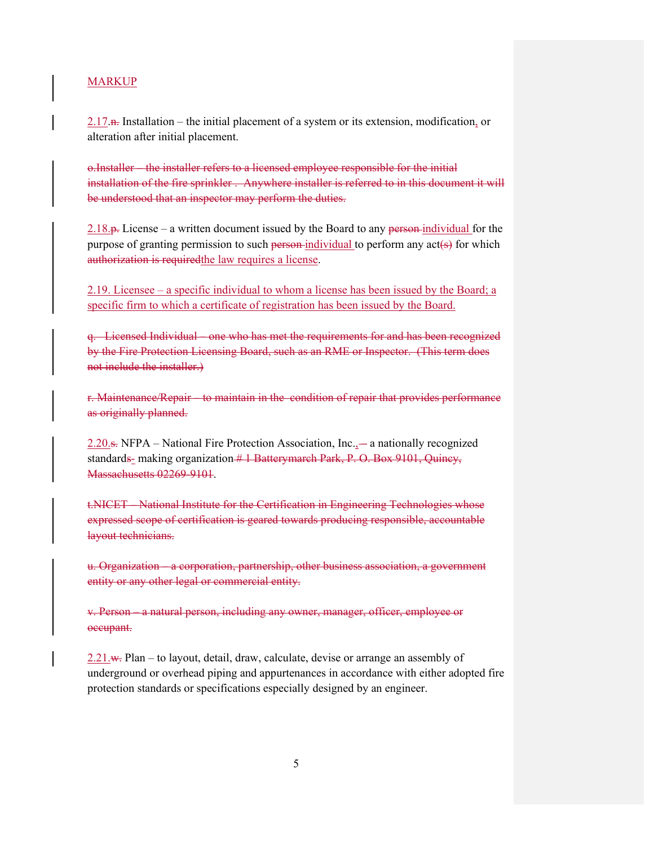$2.17$  n. Installation – the initial placement of a system or its extension, modification, or alteration after initial placement.

o.Installer – the installer refers to a licensed employee responsible for the initial installation of the fire sprinkler . Anywhere installer is referred to in this document it will be understood that an inspector may perform the duties.

 $2.18.$   $\mu$ . License – a written document issued by the Board to any person-individual for the purpose of granting permission to such person-individual to perform any  $act(s)$  for which authorization is requiredthe law requires a license.

2.19. Licensee – a specific individual to whom a license has been issued by the Board; a specific firm to which a certificate of registration has been issued by the Board.

q. Licensed Individual – one who has met the requirements for and has been recognized by the Fire Protection Licensing Board, such as an RME or Inspector. (This term does not include the installer.)

r. Maintenance/Repair – to maintain in the condition of repair that provides performance as originally planned.

 $2.20$ .s. NFPA – National Fire Protection Association, Inc. $\sim$  a nationally recognized standards- making organization  $#$  1 Batterymarch Park, P. O. Box 9101, Quincy, Massachusetts 02269-9101.

t.NICET – National Institute for the Certification in Engineering Technologies whose expressed scope of certification is geared towards producing responsible, accountable layout technicians.

u. Organization – a corporation, partnership, other business association, a government entity or any other legal or commercial entity.

v. Person – a natural person, including any owner, manager, officer, employee or occupant.

 $2.21 \text{ w}$ . Plan – to layout, detail, draw, calculate, devise or arrange an assembly of underground or overhead piping and appurtenances in accordance with either adopted fire protection standards or specifications especially designed by an engineer.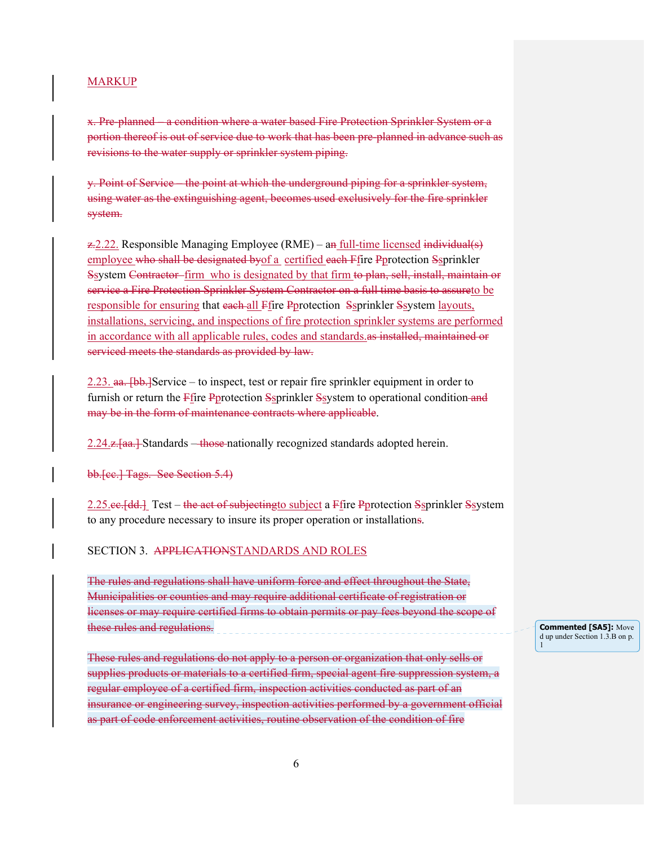x. Pre-planned – a condition where a water based Fire Protection Sprinkler System or a portion thereof is out of service due to work that has been pre-planned in advance such as revisions to the water supply or sprinkler system piping.

y. Point of Service – the point at which the underground piping for a sprinkler system, using water as the extinguishing agent, becomes used exclusively for the fire sprinkler system.

 $\angle$  2.22. Responsible Managing Employee (RME) – an full-time licensed individual(s) employee who shall be designated byof a certified each Ffire Pprotection Ssprinkler Ssystem Contractor firm who is designated by that firm to plan, sell, install, maintain or service a Fire Protection Sprinkler System Contractor on a full time basis to assureto be responsible for ensuring that each-all Ffire Pprotection Ssprinkler Ssystem layouts, installations, servicing, and inspections of fire protection sprinkler systems are performed in accordance with all applicable rules, codes and standards.as installed, maintained or serviced meets the standards as provided by law.

2.23.  $\frac{a}{b}$ . [bb.] Service – to inspect, test or repair fire sprinkler equipment in order to furnish or return the Ffire Pprotection Ssprinkler Ssystem to operational condition and may be in the form of maintenance contracts where applicable.

2.24.z. aa.] Standards – those nationally recognized standards adopted herein.

bb.[cc.] Tags. See Section 5.4)

2.25.ee. [dd.] Test – the act of subjecting to subject a Ffire Pprotection Ssprinkler Ssystem to any procedure necessary to insure its proper operation or installations.

#### SECTION 3. APPLICATIONSTANDARDS AND ROLES

The rules and regulations shall have uniform force and effect throughout the State, Municipalities or counties and may require additional certificate of registration or licenses or may require certified firms to obtain permits or pay fees beyond the scope of these rules and regulations.

These rules and regulations do not apply to a person or organization that only sells or supplies products or materials to a certified firm, special agent fire suppression system, a regular employee of a certified firm, inspection activities conducted as part of an insurance or engineering survey, inspection activities performed by a government official as part of code enforcement activities, routine observation of the condition of fire

**Commented [SA5]:** Move d up under Section 1.3.B on p. 1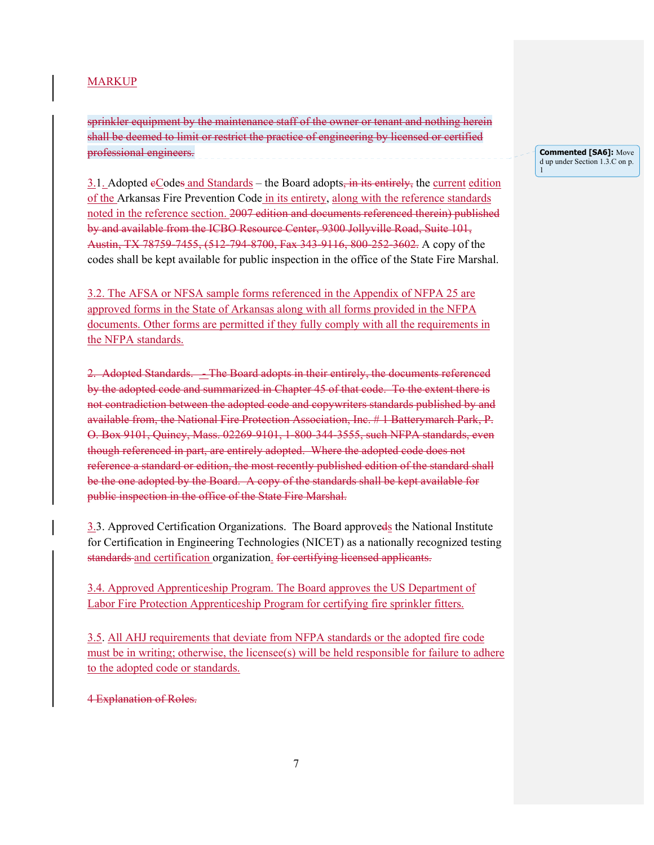sprinkler equipment by the maintenance staff of the owner or tenant and nothing herein shall be deemed to limit or restrict the practice of engineering by licensed or certified professional engineers.

 $3.1.$  Adopted  $e$ Codes and Standards – the Board adopts, in its entirely, the current edition of the Arkansas Fire Prevention Code in its entirety, along with the reference standards noted in the reference section. 2007 edition and documents referenced therein) published by and available from the ICBO Resource Center, 9300 Jollyville Road, Suite 101, Austin, TX 78759-7455, (512-794-8700, Fax 343-9116, 800-252-3602. A copy of the codes shall be kept available for public inspection in the office of the State Fire Marshal.

3.2. The AFSA or NFSA sample forms referenced in the Appendix of NFPA 25 are approved forms in the State of Arkansas along with all forms provided in the NFPA documents. Other forms are permitted if they fully comply with all the requirements in the NFPA standards.

2. Adopted Standards. - The Board adopts in their entirely, the documents referenced by the adopted code and summarized in Chapter 45 of that code. To the extent there is not contradiction between the adopted code and copywriters standards published by and available from, the National Fire Protection Association, Inc. # 1 Batterymarch Park, P. O. Box 9101, Quincy, Mass. 02269-9101, 1-800-344-3555, such NFPA standards, even though referenced in part, are entirely adopted. Where the adopted code does not reference a standard or edition, the most recently published edition of the standard shall be the one adopted by the Board. A copy of the standards shall be kept available for public inspection in the office of the State Fire Marshal.

3.3. Approved Certification Organizations. The Board approveds the National Institute for Certification in Engineering Technologies (NICET) as a nationally recognized testing standards and certification organization. for certifying licensed applicants.

3.4. Approved Apprenticeship Program. The Board approves the US Department of Labor Fire Protection Apprenticeship Program for certifying fire sprinkler fitters.

3.5. All AHJ requirements that deviate from NFPA standards or the adopted fire code must be in writing; otherwise, the licensee(s) will be held responsible for failure to adhere to the adopted code or standards.

4 Explanation of Roles.

**Commented [SA6]:** Move d up under Section 1.3.C on p. 1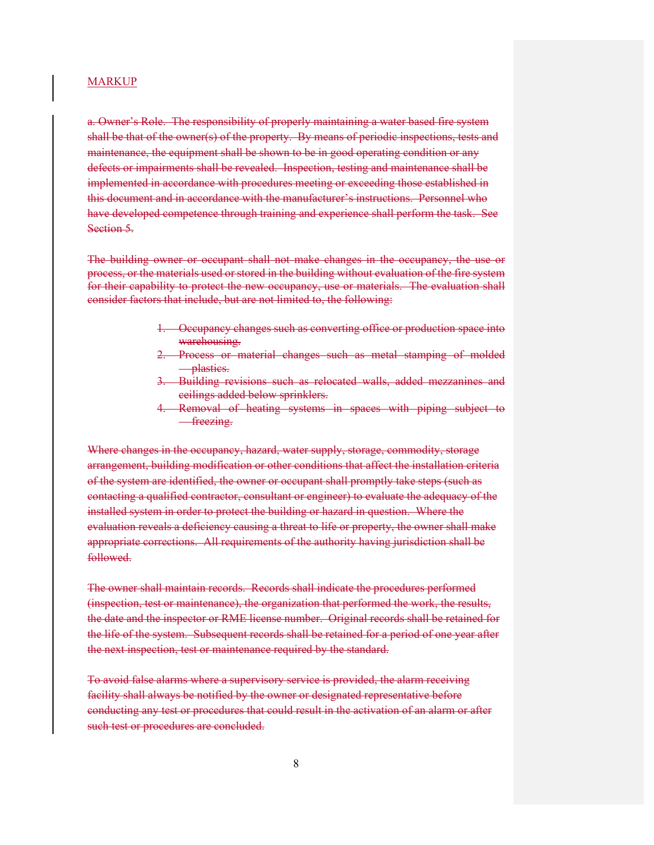a. Owner's Role. The responsibility of properly maintaining a water based fire system shall be that of the owner(s) of the property. By means of periodic inspections, tests and maintenance, the equipment shall be shown to be in good operating condition or any defects or impairments shall be revealed. Inspection, testing and maintenance shall be implemented in accordance with procedures meeting or exceeding those established in this document and in accordance with the manufacturer's instructions. Personnel who have developed competence through training and experience shall perform the task. See Section 5.

The building owner or occupant shall not make changes in the occupancy, the use or process, or the materials used or stored in the building without evaluation of the fire system for their capability to protect the new occupancy, use or materials. The evaluation shall consider factors that include, but are not limited to, the following:

- 1. Occupancy changes such as converting office or production space into warehousing.
- 2. Process or material changes such as metal stamping of molded plastics.
- 3. Building revisions such as relocated walls, added mezzanines and ceilings added below sprinklers.
- 4. Removal of heating systems in spaces with piping subject to **-freezing.**

Where changes in the occupancy, hazard, water supply, storage, commodity, storage arrangement, building modification or other conditions that affect the installation criteria of the system are identified, the owner or occupant shall promptly take steps (such as contacting a qualified contractor, consultant or engineer) to evaluate the adequacy of the installed system in order to protect the building or hazard in question. Where the evaluation reveals a deficiency causing a threat to life or property, the owner shall make appropriate corrections. All requirements of the authority having jurisdiction shall be followed.

The owner shall maintain records. Records shall indicate the procedures performed (inspection, test or maintenance), the organization that performed the work, the results, the date and the inspector or RME license number. Original records shall be retained for the life of the system. Subsequent records shall be retained for a period of one year after the next inspection, test or maintenance required by the standard.

To avoid false alarms where a supervisory service is provided, the alarm receiving facility shall always be notified by the owner or designated representative before conducting any test or procedures that could result in the activation of an alarm or after such test or procedures are concluded.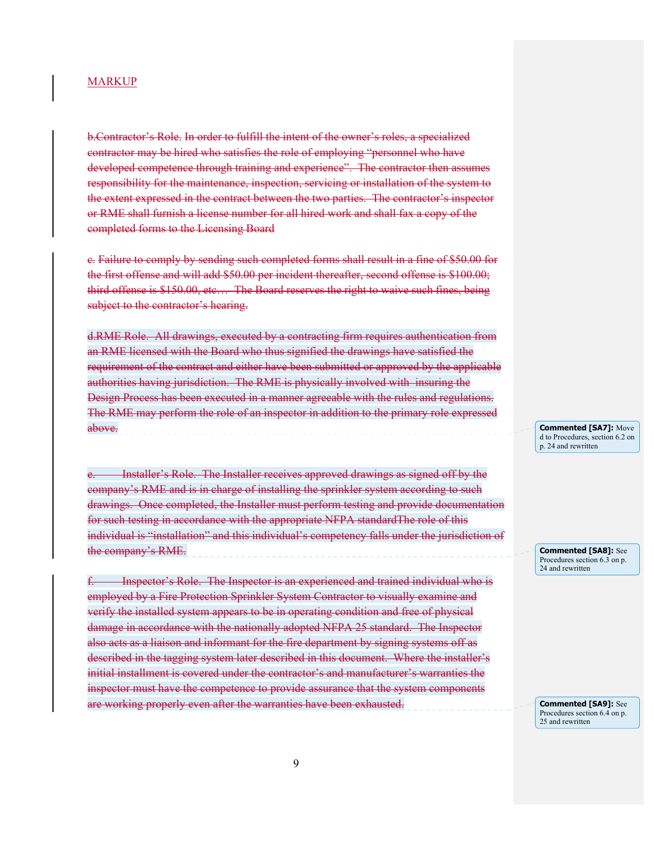b.Contractor's Role. In order to fulfill the intent of the owner's roles, a specialized contractor may be hired who satisfies the role of employing "personnel who have developed competence through training and experience". The contractor then assumes responsibility for the maintenance, inspection, servicing or installation of the system to the extent expressed in the contract between the two parties. The contractor's inspector or RME shall furnish a license number for all hired work and shall fax a copy of the completed forms to the Licensing Board

c. Failure to comply by sending such completed forms shall result in a fine of \$50.00 for the first offense and will add \$50.00 per incident thereafter, second offense is \$100.00; third offense is \$150.00, etc… The Board reserves the right to waive such fines, being subject to the contractor's hearing.

d.RME Role. All drawings, executed by a contracting firm requires authentication from an RME licensed with the Board who thus signified the drawings have satisfied the requirement of the contract and either have been submitted or approved by the applicable authorities having jurisdiction. The RME is physically involved with insuring the Design Process has been executed in a manner agreeable with the rules and regulations. The RME may perform the role of an inspector in addition to the primary role expressed above.

Installer's Role. The Installer receives approved drawings as signed off by the company's RME and is in charge of installing the sprinkler system according to such drawings. Once completed, the Installer must perform testing and provide documentation for such testing in accordance with the appropriate NFPA standardThe role of this individual is "installation" and this individual's competency falls under the jurisdiction of the company's RME.

f. Inspector's Role. The Inspector is an experienced and trained individual who is employed by a Fire Protection Sprinkler System Contractor to visually examine and verify the installed system appears to be in operating condition and free of physical damage in accordance with the nationally adopted NFPA 25 standard. The Inspector also acts as a liaison and informant for the fire department by signing systems off as described in the tagging system later described in this document. Where the installer's initial installment is covered under the contractor's and manufacturer's warranties the inspector must have the competence to provide assurance that the system components are working properly even after the warranties have been exhausted.

**Commented [SA7]:** Move d to Procedures, section 6.2 on p. 24 and rewritten

**Commented [SA8]:** See Procedures section 6.3 on p. 24 and rewritten

**Commented [SA9]:** See Procedures section 6.4 on p. 25 and rewritten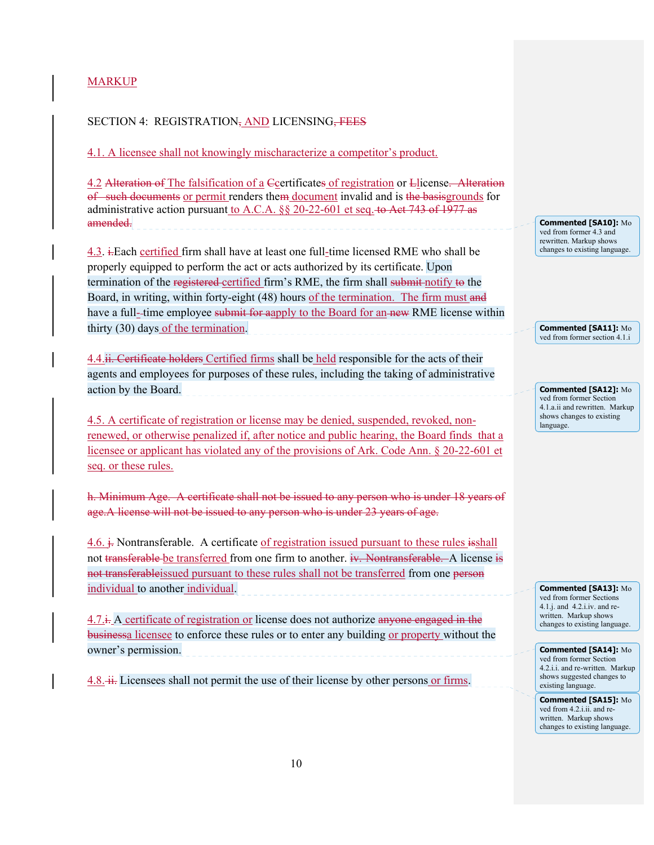## SECTION 4: REGISTRATION, AND LICENSING, FEES

4.1. A licensee shall not knowingly mischaracterize a competitor's product.

4.2 Alteration of The falsification of a Ccertificates of registration or Llicense. Alteration of such documents or permit renders them document invalid and is the basis grounds for administrative action pursuant to A.C.A. §§ 20-22-601 et seq. to Act 743 of 1977 as amended.

4.3. i. Each certified firm shall have at least one full-time licensed RME who shall be properly equipped to perform the act or acts authorized by its certificate. Upon termination of the registered-certified firm's RME, the firm shall submit notify to the Board, in writing, within forty-eight (48) hours of the termination. The firm must and have a full--time employee submit for aapply to the Board for an-new RME license within thirty (30) days of the termination.

4.4.ii. Certificate holders Certified firms shall be held responsible for the acts of their agents and employees for purposes of these rules, including the taking of administrative action by the Board.

4.5. A certificate of registration or license may be denied, suspended, revoked, nonrenewed, or otherwise penalized if, after notice and public hearing, the Board finds that a licensee or applicant has violated any of the provisions of Ark. Code Ann. § 20-22-601 et seq. or these rules.

h. Minimum Age. A certificate shall not be issued to any person who is under 18 years of age.A license will not be issued to any person who is under 23 years of age.

 $4.6. \div$  Nontransferable. A certificate of registration issued pursuant to these rules  $\pm$ shall not transferable be transferred from one firm to another. iv. Nontransferable. A license is not transferableissued pursuant to these rules shall not be transferred from one person individual to another individual.

 $4.7 \div$  A certificate of registration or license does not authorize anyone engaged in the businessa licensee to enforce these rules or to enter any building or property without the owner's permission.

 $4.8$ .  $\overline{\text{ii}}$ . Licensees shall not permit the use of their license by other persons or firms.

**Commented [SA10]:** Mo ved from former 4.3 and rewritten. Markup shows changes to existing language.

**Commented [SA11]:** Mo ved from former section 4.1.i

**Commented [SA12]:** Mo ved from former Section 4.1.a.ii and rewritten. Markup shows changes to existing language.

**Commented [SA13]:** Mo ved from former Sections 4.1.j. and 4.2.i.iv. and rewritten. Markup shows changes to existing language.

**Commented [SA14]:** Mo ved from former Section 4.2.i.i. and re-written. Markup shows suggested changes to existing language.

**Commented [SA15]:** Mo ved from 4.2.i.ii. and rewritten. Markup shows changes to existing language.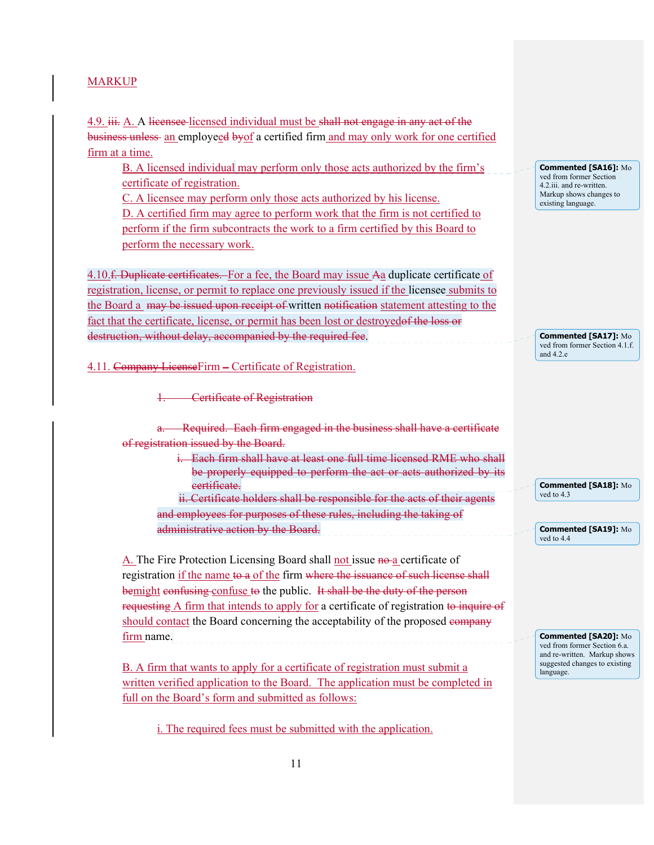4.9. iii. A. A licensee-licensed individual must be shall not engage in any act of the business unless an employeed byof a certified firm and may only work for one certified firm at a time.

B. A licensed individual may perform only those acts authorized by the firm's certificate of registration.

C. A licensee may perform only those acts authorized by his license. D. A certified firm may agree to perform work that the firm is not certified to perform if the firm subcontracts the work to a firm certified by this Board to

perform the necessary work.

4.10.<del>f. Duplicate certificates.</del> For a fee, the Board may issue Aa duplicate certificate of registration, license, or permit to replace one previously issued if the licensee submits to the Board a may be issued upon receipt of written notification statement attesting to the fact that the certificate, license, or permit has been lost or destroyed of the loss or destruction, without delay, accompanied by the required fee.

4.11. Company LicenseFirm – Certificate of Registration.

**Certificate of Registration** 

Required. Each firm engaged in the business shall have a certificate of registration issued by the Board.

> i. Each firm shall have at least one full time licensed RME who shall be properly equipped to perform the act or acts authorized by its certificate. ii. Certificate holders shall be responsible for the acts of their agents

and employees for purposes of these rules, including the taking of administrative action by the Board.

A. The Fire Protection Licensing Board shall not issue no a certificate of registration if the name to a of the firm where the issuance of such license shall bemight confusing confuse to the public. It shall be the duty of the person requesting A firm that intends to apply for a certificate of registration to inquire of should contact the Board concerning the acceptability of the proposed company firm name.

B. A firm that wants to apply for a certificate of registration must submit a written verified application to the Board. The application must be completed in full on the Board's form and submitted as follows:

i. The required fees must be submitted with the application.

**Commented [SA16]:** Mo ved from former Section 4.2.iii. and re-written. Markup shows changes to existing language.

**Commented [SA17]:** Mo ved from former Section 4.1.f. and 4.2.e

**Commented [SA18]:** Mo ved to 4.3

**Commented [SA19]:** Mo ved to 4.4

**Commented [SA20]:** Mo ved from former Section 6.a. and re-written. Markup shows suggested changes to existing language.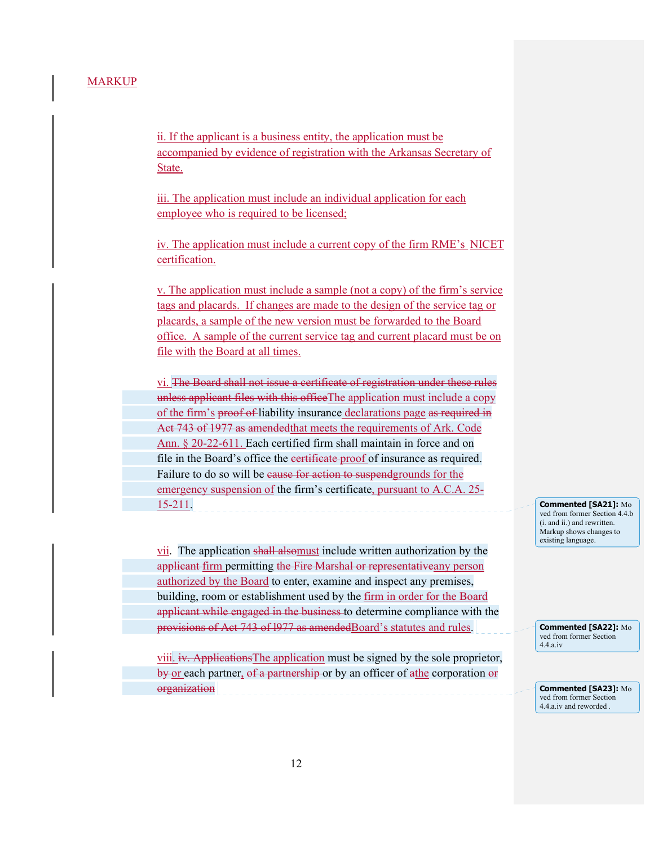ii. If the applicant is a business entity, the application must be accompanied by evidence of registration with the Arkansas Secretary of State.

iii. The application must include an individual application for each employee who is required to be licensed;

iv. The application must include a current copy of the firm RME's NICET certification.

v. The application must include a sample (not a copy) of the firm's service tags and placards. If changes are made to the design of the service tag or placards, a sample of the new version must be forwarded to the Board office. A sample of the current service tag and current placard must be on file with the Board at all times.

vi. The Board shall not issue a certificate of registration under these rules unless applicant files with this office The application must include a copy of the firm's proof of liability insurance declarations page as required in Act 743 of 1977 as amendedthat meets the requirements of Ark. Code Ann. § 20-22-611. Each certified firm shall maintain in force and on file in the Board's office the certificate proof of insurance as required. Failure to do so will be eause for action to suspendgrounds for the emergency suspension of the firm's certificate, pursuant to A.C.A. 25- 15-211.

vii. The application shall alsomust include written authorization by the applicant firm permitting the Fire Marshal or representativeany person authorized by the Board to enter, examine and inspect any premises, building, room or establishment used by the firm in order for the Board applicant while engaged in the business to determine compliance with the provisions of Act 743 of 1977 as amendedBoard's statutes and rules.

viii. iv. ApplicationsThe application must be signed by the sole proprietor, by or each partner, of a partnership or by an officer of athe corporation or organization

**Commented [SA21]:** Mo ved from former Section 4.4.b (i. and ii.) and rewritten. Markup shows changes to existing language.

**Commented [SA22]:** Mo ved from former Section 4.4.a.iv

**Commented [SA23]:** Mo ved from former Section 4.4.a.iv and reworded .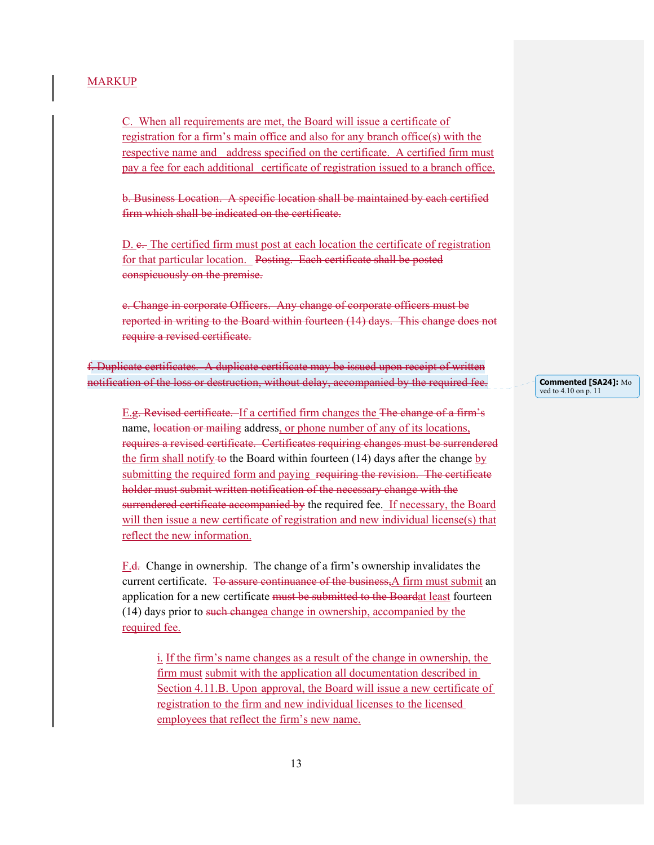C. When all requirements are met, the Board will issue a certificate of registration for a firm's main office and also for any branch office(s) with the respective name and address specified on the certificate. A certified firm must pay a fee for each additional certificate of registration issued to a branch office.

b. Business Location. A specific location shall be maintained by each certified firm which shall be indicated on the certificate.

D. e. The certified firm must post at each location the certificate of registration for that particular location. Posting. Each certificate shall be posted conspicuously on the premise.

e. Change in corporate Officers. Any change of corporate officers must be reported in writing to the Board within fourteen (14) days. This change does not require a revised certificate.

f. Duplicate certificates. A duplicate certificate may be issued upon receipt of written notification of the loss or destruction, without delay, accompanied by the required fee.

E.g. Revised certificate. If a certified firm changes the The change of a firm's name, location or mailing address, or phone number of any of its locations, requires a revised certificate. Certificates requiring changes must be surrendered the firm shall notify to the Board within fourteen  $(14)$  days after the change by submitting the required form and paying requiring the revision. The certificate holder must submit written notification of the necessary change with the surrendered certificate accompanied by the required fee. If necessary, the Board will then issue a new certificate of registration and new individual license(s) that reflect the new information.

F.d. Change in ownership. The change of a firm's ownership invalidates the current certificate. To assure continuance of the business, A firm must submit an application for a new certificate must be submitted to the Boardat least fourteen (14) days prior to such changea change in ownership, accompanied by the required fee.

 i. If the firm's name changes as a result of the change in ownership, the firm must submit with the application all documentation described in Section 4.11.B. Upon approval, the Board will issue a new certificate of registration to the firm and new individual licenses to the licensed employees that reflect the firm's new name.

**Commented [SA24]:** Mo ved to 4.10 on p. 11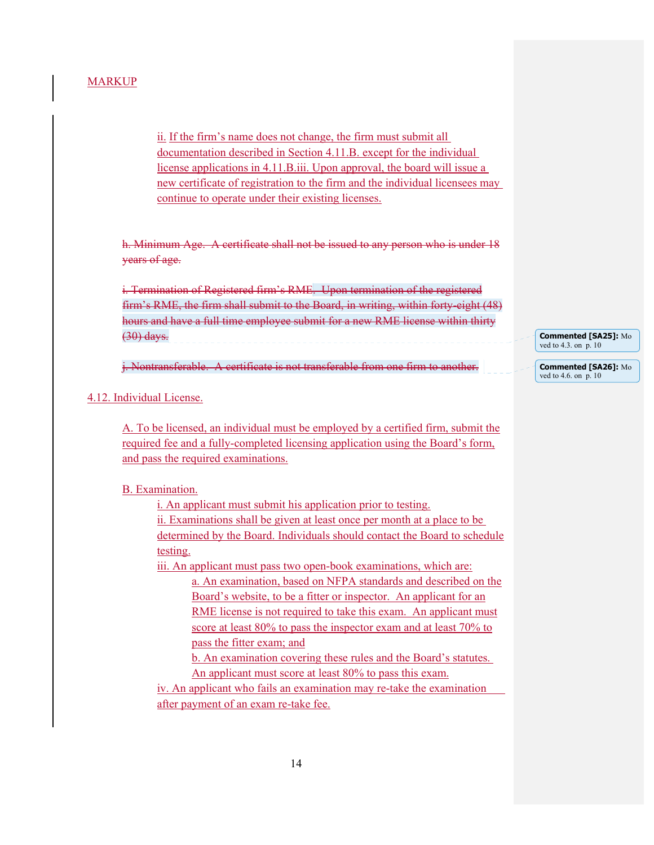ii. If the firm's name does not change, the firm must submit all documentation described in Section 4.11.B. except for the individual license applications in 4.11.B.iii. Upon approval, the board will issue a new certificate of registration to the firm and the individual licensees may continue to operate under their existing licenses.

h. Minimum Age. A certificate shall not be issued to any person who is under 18 years of age.

i. Termination of Registered firm's RME. Upon termination of the registered firm's RME, the firm shall submit to the Board, in writing, within forty-eight (48) hours and have a full time employee submit for a new RME license within thirty (30) days.

j. Nontransferable. A certificate is not transferable from one firm to another.

#### 4.12. Individual License.

A. To be licensed, an individual must be employed by a certified firm, submit the required fee and a fully-completed licensing application using the Board's form, and pass the required examinations.

#### B. Examination.

 i. An applicant must submit his application prior to testing. ii. Examinations shall be given at least once per month at a place to be determined by the Board. Individuals should contact the Board to schedule testing.

 iii. An applicant must pass two open-book examinations, which are: a. An examination, based on NFPA standards and described on the Board's website, to be a fitter or inspector. An applicant for an RME license is not required to take this exam. An applicant must score at least 80% to pass the inspector exam and at least 70% to pass the fitter exam; and

 b. An examination covering these rules and the Board's statutes. An applicant must score at least 80% to pass this exam.

 iv. An applicant who fails an examination may re-take the examination after payment of an exam re-take fee.

**Commented [SA25]:** Mo ved to 4.3. on p. 10

**Commented [SA26]:** Mo ved to 4.6. on p. 10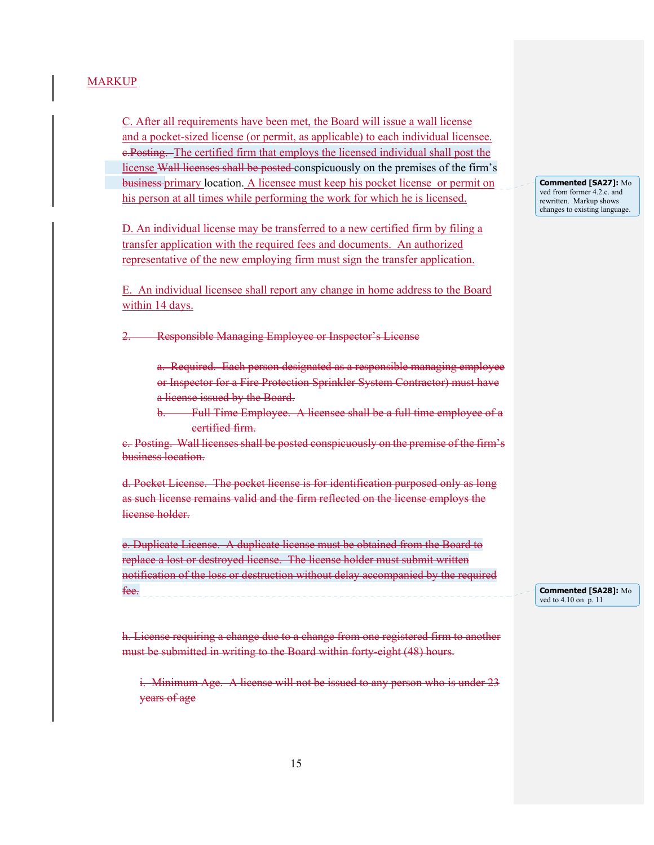C. After all requirements have been met, the Board will issue a wall license and a pocket-sized license (or permit, as applicable) to each individual licensee. c.Posting. The certified firm that employs the licensed individual shall post the license Wall licenses shall be posted conspicuously on the premises of the firm's business primary location. A licensee must keep his pocket license or permit on his person at all times while performing the work for which he is licensed.

D. An individual license may be transferred to a new certified firm by filing a transfer application with the required fees and documents. An authorized representative of the new employing firm must sign the transfer application.

E. An individual licensee shall report any change in home address to the Board within 14 days.

**Responsible Managing Employee or Inspector's License** 

a. Required. Each person designated as a responsible managing employee or Inspector for a Fire Protection Sprinkler System Contractor) must have a license issued by the Board.

b. Full Time Employee. A licensee shall be a full time employee of a certified firm.

c. Posting. Wall licenses shall be posted conspicuously on the premise of the firm's business location.

d. Pocket License. The pocket license is for identification purposed only as long as such license remains valid and the firm reflected on the license employs the license holder.

e. Duplicate License. A duplicate license must be obtained from the Board to replace a lost or destroyed license. The license holder must submit written notification of the loss or destruction without delay accompanied by the required fee.

h. License requiring a change due to a change from one registered firm to another must be submitted in writing to the Board within forty-eight (48) hours.

i. Minimum Age. A license will not be issued to any person who is under 23 years of age

**Commented [SA27]:** Mo ved from former 4.2.c. and rewritten. Markup shows changes to existing language.

**Commented [SA28]:** Mo ved to 4.10 on p. 11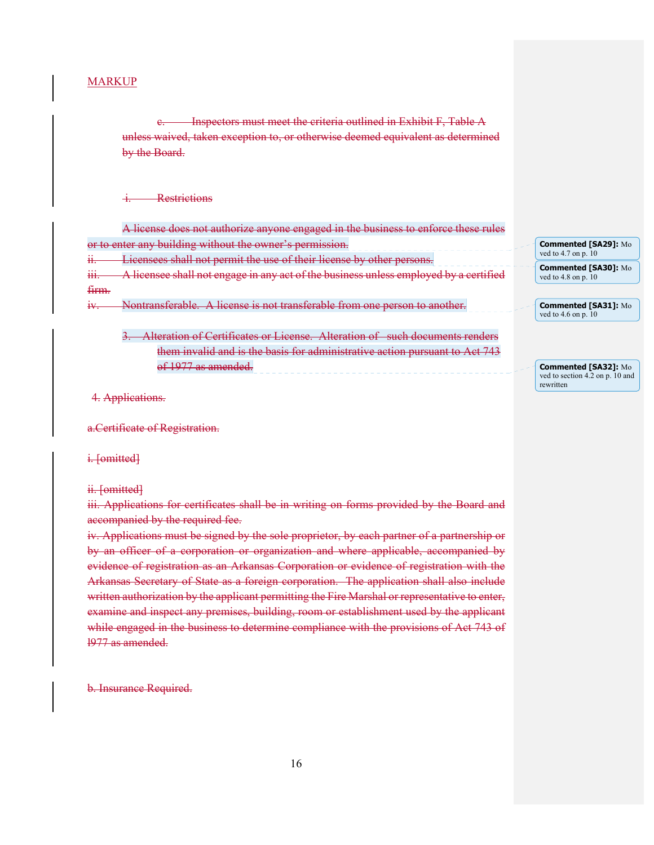c. Inspectors must meet the criteria outlined in Exhibit F, Table A unless waived, taken exception to, or otherwise deemed equivalent as determined by the Board.

#### **Restrictions**

A license does not authorize anyone engaged in the business to enforce these rules or to enter any building without the owner's permission. ii. Licensees shall not permit the use of their license by other persons. iii. A licensee shall not engage in any act of the business unless employed by a certified firm. iv. Nontransferable. A license is not transferable from one person to another.

3. Alteration of Certificates or License. Alteration of such documents renders them invalid and is the basis for administrative action pursuant to Act 743 of 1977 as amended.

**Commented [SA29]:** Mo ved to 4.7 on p. 10 **Commented [SA30]:** Mo ved to 4.8 on p. 10

**Commented [SA31]:** Mo ved to 4.6 on p. 10

**Commented [SA32]:** Mo ved to section 4.2 on p. 10 and rewritten

#### 4. Applications.

a.Certificate of Registration.

i. [omitted]

ii. [omitted]

iii. Applications for certificates shall be in writing on forms provided by the Board and accompanied by the required fee.

iv. Applications must be signed by the sole proprietor, by each partner of a partnership or by an officer of a corporation or organization and where applicable, accompanied by evidence of registration as an Arkansas Corporation or evidence of registration with the Arkansas Secretary of State as a foreign corporation. The application shall also include written authorization by the applicant permitting the Fire Marshal or representative to enter, examine and inspect any premises, building, room or establishment used by the applicant while engaged in the business to determine compliance with the provisions of Act 743 of l977 as amended.

b. Insurance Required.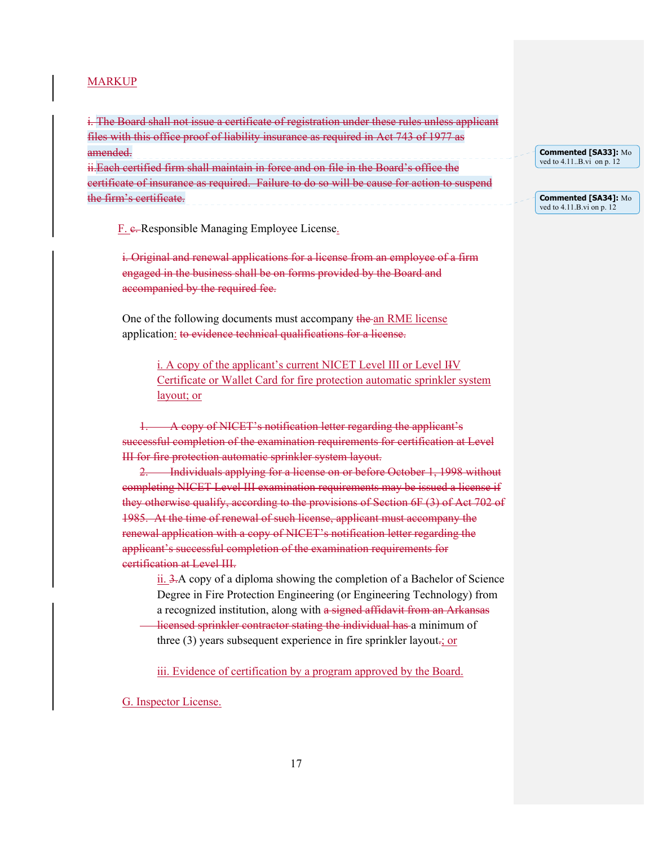i. The Board shall not issue a certificate of registration under these rules unless applicant files with this office proof of liability insurance as required in Act 743 of 1977 as amended. ii.Each certified firm shall maintain in force and on file in the Board's office the certificate of insurance as required. Failure to do so will be cause for action to suspend the firm's certificate.

F. e. Responsible Managing Employee License.

i. Original and renewal applications for a license from an employee of a firm engaged in the business shall be on forms provided by the Board and accompanied by the required fee.

 One of the following documents must accompany the an RME license application: to evidence technical qualifications for a license.

> i. A copy of the applicant's current NICET Level III or Level IIV Certificate or Wallet Card for fire protection automatic sprinkler system layout; or

A copy of NICET's notification letter regarding the applicant's successful completion of the examination requirements for certification at Level III for fire protection automatic sprinkler system layout.

**Individuals applying for a license on or before October 1, 1998 without** completing NICET Level III examination requirements may be issued a license if they otherwise qualify, according to the provisions of Section 6F (3) of Act 702 of 1985. At the time of renewal of such license, applicant must accompany the renewal application with a copy of NICET's notification letter regarding the applicant's successful completion of the examination requirements for certification at Level III.

ii. 3.A copy of a diploma showing the completion of a Bachelor of Science Degree in Fire Protection Engineering (or Engineering Technology) from a recognized institution, along with a signed affidavit from an Arkansas

 licensed sprinkler contractor stating the individual has a minimum of three  $(3)$  years subsequent experience in fire sprinkler layout.; or

iii. Evidence of certification by a program approved by the Board.

G. Inspector License.

| Commented [SA33]: Mo              |
|-----------------------------------|
| ved to $4.11 \dots B$ vi on p. 12 |

**Commented [SA34]:** Mo ved to 4.11.B.vi on p. 12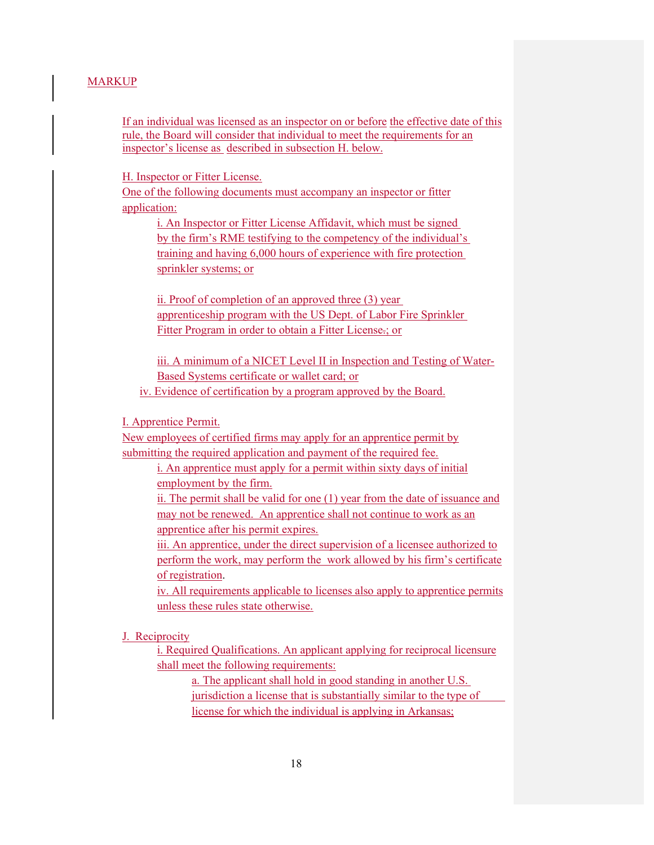If an individual was licensed as an inspector on or before the effective date of this rule, the Board will consider that individual to meet the requirements for an inspector's license as described in subsection H. below.

H. Inspector or Fitter License.

One of the following documents must accompany an inspector or fitter application:

> i. An Inspector or Fitter License Affidavit, which must be signed by the firm's RME testifying to the competency of the individual's training and having 6,000 hours of experience with fire protection sprinkler systems; or

> ii. Proof of completion of an approved three (3) year apprenticeship program with the US Dept. of Labor Fire Sprinkler Fitter Program in order to obtain a Fitter License.; or

 iii. A minimum of a NICET Level II in Inspection and Testing of Water- Based Systems certificate or wallet card; or

iv. Evidence of certification by a program approved by the Board.

I. Apprentice Permit.

New employees of certified firms may apply for an apprentice permit by submitting the required application and payment of the required fee.

> i. An apprentice must apply for a permit within sixty days of initial employment by the firm.

ii. The permit shall be valid for one (1) year from the date of issuance and may not be renewed. An apprentice shall not continue to work as an apprentice after his permit expires.

iii. An apprentice, under the direct supervision of a licensee authorized to perform the work, may perform the work allowed by his firm's certificate of registration.

iv. All requirements applicable to licenses also apply to apprentice permits unless these rules state otherwise.

J. Reciprocity

i. Required Qualifications. An applicant applying for reciprocal licensure shall meet the following requirements:

 a. The applicant shall hold in good standing in another U.S. jurisdiction a license that is substantially similar to the type of license for which the individual is applying in Arkansas;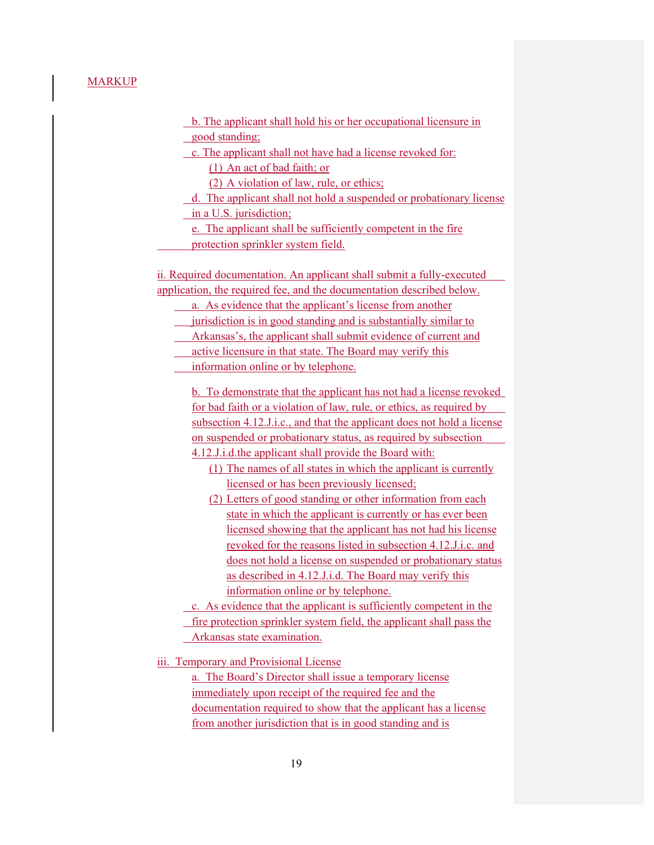b. The applicant shall hold his or her occupational licensure in good standing;

c. The applicant shall not have had a license revoked for:

(1) An act of bad faith; or

(2) A violation of law, rule, or ethics;

 d. The applicant shall not hold a suspended or probationary license in a U.S. jurisdiction;

e. The applicant shall be sufficiently competent in the fire

protection sprinkler system field.

 ii. Required documentation. An applicant shall submit a fully-executed application, the required fee, and the documentation described below.

a. As evidence that the applicant's license from another

jurisdiction is in good standing and is substantially similar to

Arkansas's, the applicant shall submit evidence of current and

active licensure in that state. The Board may verify this

information online or by telephone.

 b. To demonstrate that the applicant has not had a license revoked for bad faith or a violation of law, rule, or ethics, as required by subsection 4.12.J.i.c., and that the applicant does not hold a license on suspended or probationary status, as required by subsection 4.12.J.i.d.the applicant shall provide the Board with:

(1) The names of all states in which the applicant is currently licensed or has been previously licensed;

(2) Letters of good standing or other information from each state in which the applicant is currently or has ever been licensed showing that the applicant has not had his license revoked for the reasons listed in subsection 4.12.J.i.c. and does not hold a license on suspended or probationary status as described in 4.12.J.i.d. The Board may verify this information online or by telephone.

c. As evidence that the applicant is sufficiently competent in the

fire protection sprinkler system field, the applicant shall pass the

Arkansas state examination.

iii. Temporary and Provisional License

a. The Board's Director shall issue a temporary license immediately upon receipt of the required fee and the documentation required to show that the applicant has a license from another jurisdiction that is in good standing and is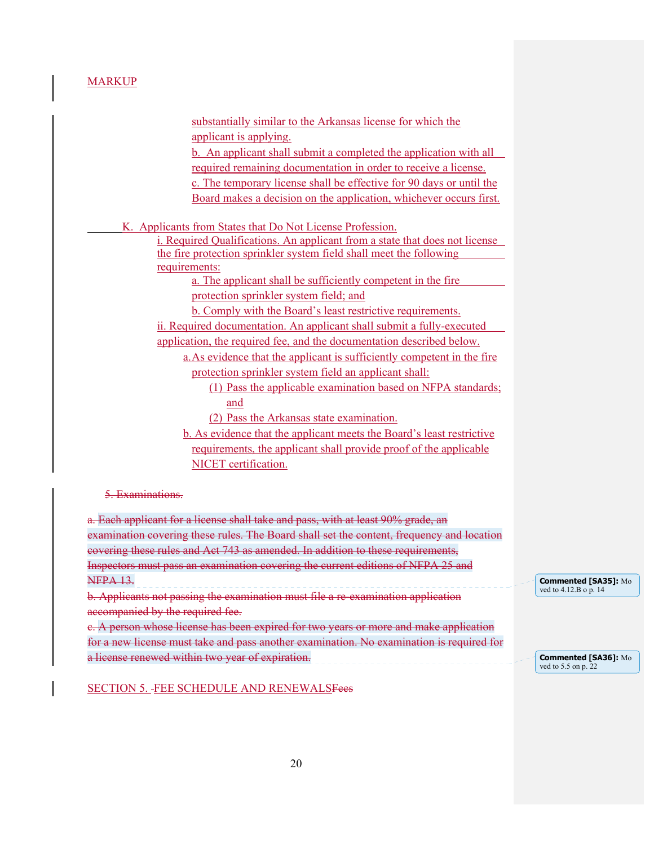| applicant is applying.<br>b. An applicant shall submit a completed the application with all<br>required remaining documentation in order to receive a license.<br>c. The temporary license shall be effective for 90 days or until the<br>Board makes a decision on the application, whichever occurs first.<br>K. Applicants from States that Do Not License Profession.<br><i>i. Required Qualifications. An applicant from a state that does not license</i> |
|-----------------------------------------------------------------------------------------------------------------------------------------------------------------------------------------------------------------------------------------------------------------------------------------------------------------------------------------------------------------------------------------------------------------------------------------------------------------|
|                                                                                                                                                                                                                                                                                                                                                                                                                                                                 |
|                                                                                                                                                                                                                                                                                                                                                                                                                                                                 |
|                                                                                                                                                                                                                                                                                                                                                                                                                                                                 |
|                                                                                                                                                                                                                                                                                                                                                                                                                                                                 |
|                                                                                                                                                                                                                                                                                                                                                                                                                                                                 |
|                                                                                                                                                                                                                                                                                                                                                                                                                                                                 |
|                                                                                                                                                                                                                                                                                                                                                                                                                                                                 |
|                                                                                                                                                                                                                                                                                                                                                                                                                                                                 |
| the fire protection sprinkler system field shall meet the following                                                                                                                                                                                                                                                                                                                                                                                             |
| requirements:                                                                                                                                                                                                                                                                                                                                                                                                                                                   |
| a. The applicant shall be sufficiently competent in the fire                                                                                                                                                                                                                                                                                                                                                                                                    |
| protection sprinkler system field; and                                                                                                                                                                                                                                                                                                                                                                                                                          |
| <b>b.</b> Comply with the Board's least restrictive requirements.                                                                                                                                                                                                                                                                                                                                                                                               |
| ii. Required documentation. An applicant shall submit a fully-executed                                                                                                                                                                                                                                                                                                                                                                                          |
| application, the required fee, and the documentation described below.                                                                                                                                                                                                                                                                                                                                                                                           |
| a. As evidence that the applicant is sufficiently competent in the fire                                                                                                                                                                                                                                                                                                                                                                                         |
| protection sprinkler system field an applicant shall:                                                                                                                                                                                                                                                                                                                                                                                                           |
| (1) Pass the applicable examination based on NFPA standards;                                                                                                                                                                                                                                                                                                                                                                                                    |
| and                                                                                                                                                                                                                                                                                                                                                                                                                                                             |
| (2) Pass the Arkansas state examination.                                                                                                                                                                                                                                                                                                                                                                                                                        |
| b. As evidence that the applicant meets the Board's least restrictive                                                                                                                                                                                                                                                                                                                                                                                           |
| requirements, the applicant shall provide proof of the applicable                                                                                                                                                                                                                                                                                                                                                                                               |
| NICET certification.                                                                                                                                                                                                                                                                                                                                                                                                                                            |
|                                                                                                                                                                                                                                                                                                                                                                                                                                                                 |
| 5. Examinations.                                                                                                                                                                                                                                                                                                                                                                                                                                                |
|                                                                                                                                                                                                                                                                                                                                                                                                                                                                 |
| a. Each applicant for a license shall take and pass, with at least 90% grade, an                                                                                                                                                                                                                                                                                                                                                                                |

examination covering these rules. The Board shall set the content, frequency and location covering these rules and Act 743 as amended. In addition to these requirements, Inspectors must pass an examination covering the current editions of NFPA 25 and NFPA 13. b. Applicants not passing the examination must file a re-examination application accompanied by the required fee. c. A person whose license has been expired for two years or more and make application for a new license must take and pass another examination. No examination is required for a license renewed within two year of expiration. **Commented [SA35]:** Mo ved to 4.12.B o p. 14 **Commented [SA36]:** Mo ved to 5.5 on p. 22

SECTION 5. FEE SCHEDULE AND RENEWALSFees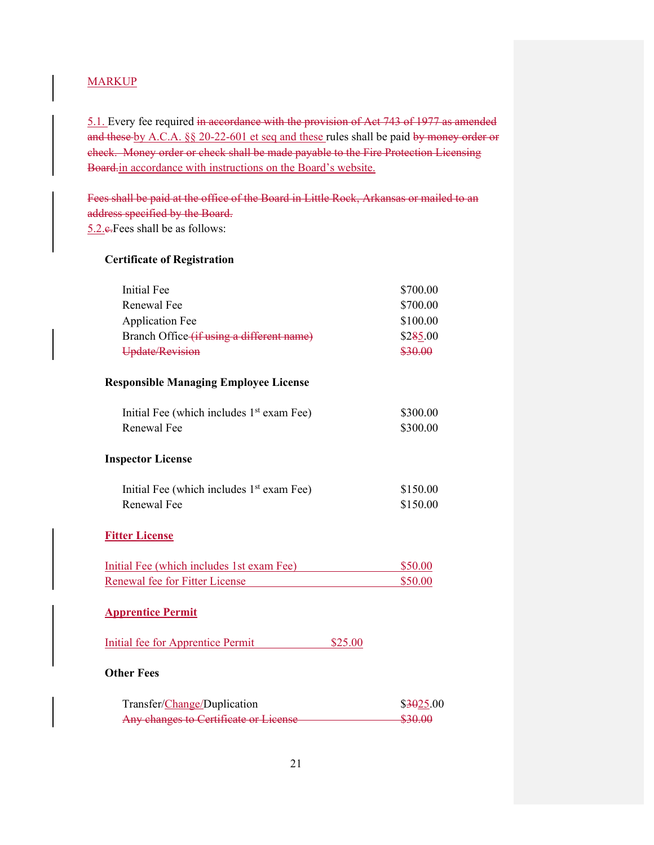5.1. Every fee required in accordance with the provision of Act 743 of 1977 as amended and these by A.C.A. §§ 20-22-601 et seq and these rules shall be paid by money order or check. Money order or check shall be made payable to the Fire Protection Licensing Board.in accordance with instructions on the Board's website.

Fees shall be paid at the office of the Board in Little Rock, Arkansas or mailed to an address specified by the Board. 5.2.c.Fees shall be as follows:

#### **Certificate of Registration**

| <b>Initial Fee</b><br><b>Renewal Fee</b><br><b>Application Fee</b><br>Branch Office (if using a different name)<br>Update/Revision                                                                                                                                                                                                 | \$700.00<br>\$700.00<br>\$100.00<br>\$285.00<br>\$30.00 |
|------------------------------------------------------------------------------------------------------------------------------------------------------------------------------------------------------------------------------------------------------------------------------------------------------------------------------------|---------------------------------------------------------|
| <b>Responsible Managing Employee License</b>                                                                                                                                                                                                                                                                                       |                                                         |
| Initial Fee (which includes 1 <sup>st</sup> exam Fee)<br>Renewal Fee                                                                                                                                                                                                                                                               | \$300.00<br>\$300.00                                    |
| <b>Inspector License</b>                                                                                                                                                                                                                                                                                                           |                                                         |
| Initial Fee (which includes 1 <sup>st</sup> exam Fee)<br>Renewal Fee                                                                                                                                                                                                                                                               | \$150.00<br>\$150.00                                    |
| <b>Fitter License</b>                                                                                                                                                                                                                                                                                                              |                                                         |
| Initial Fee (which includes 1st exam Fee)<br>Renewal fee for Fitter License                                                                                                                                                                                                                                                        | \$50.00<br>\$50.00                                      |
| <b>Apprentice Permit</b>                                                                                                                                                                                                                                                                                                           |                                                         |
| <b>Initial fee for Apprentice Permit</b><br>\$25.00                                                                                                                                                                                                                                                                                |                                                         |
| <b>Other Fees</b>                                                                                                                                                                                                                                                                                                                  |                                                         |
| $\mathbb{R}$ $\mathbb{C}$ $\mathbb{C}$ $\mathbb{C}$ $\mathbb{R}$ $\mathbb{C}$ $\mathbb{C}$ $\mathbb{C}$ $\mathbb{C}$ $\mathbb{C}$ $\mathbb{C}$ $\mathbb{C}$ $\mathbb{C}$ $\mathbb{C}$ $\mathbb{C}$ $\mathbb{C}$ $\mathbb{C}$ $\mathbb{C}$ $\mathbb{C}$ $\mathbb{C}$ $\mathbb{C}$ $\mathbb{C}$ $\mathbb{C}$ $\mathbb{C}$ $\mathbb{$ | 0.00500                                                 |

| Transfer/Change/Duplication           | \$3025.00                |
|---------------------------------------|--------------------------|
| Any changes to Certificate or License | 2000<br><del>ww.an</del> |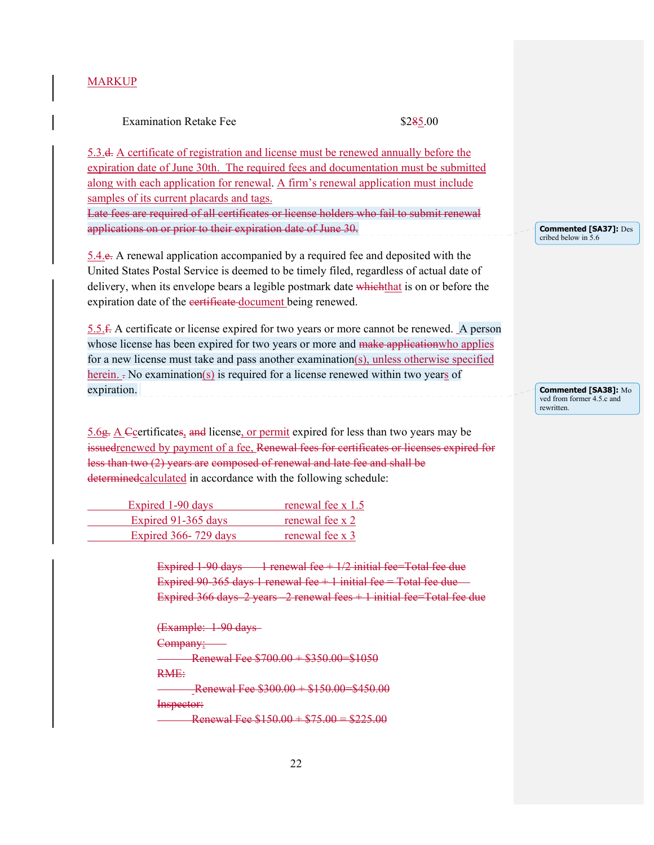#### Examination Retake Fee \$285.00

5.3.d. A certificate of registration and license must be renewed annually before the expiration date of June 30th. The required fees and documentation must be submitted along with each application for renewal. A firm's renewal application must include samples of its current placards and tags.

Late fees are required of all certificates or license holders who fail to submit renewal applications on or prior to their expiration date of June 30.

5.4.e. A renewal application accompanied by a required fee and deposited with the United States Postal Service is deemed to be timely filed, regardless of actual date of delivery, when its envelope bears a legible postmark date which that is on or before the expiration date of the eertificate document being renewed.

5.5.f. A certificate or license expired for two years or more cannot be renewed. A person whose license has been expired for two years or more and make application who applies for a new license must take and pass another examination(s), unless otherwise specified herein.  $\frac{1}{x}$  No examination(s) is required for a license renewed within two years of expiration.

 $5.6g$ . A  $\epsilon$  C certificates, and license, or permit expired for less than two years may be issuedrenewed by payment of a fee, Renewal fees for certificates or licenses expired for less than two (2) years are composed of renewal and late fee and shall be determinedcalculated in accordance with the following schedule:

| Expired 1-90 days    | renewal fee $x$ 1.5 |
|----------------------|---------------------|
| Expired 91-365 days  | renewal fee x 2     |
| Expired 366-729 days | renewal fee x 3     |

Expired 1-90 days  $\frac{1}{2}$  renewal fee + 1/2 initial fee=Total fee due Expired 90-365 days 1 renewal fee  $+1$  initial fee  $-$  Total fee due  $-$ Expired 366 days–2 years –2 renewal fees + 1 initial fee=Total fee due

(Example: 1-90 days Company: **EXERCISE Renewal Fee \$700.00 + \$350.00 - \$1050** RME: Renewal Fee  $$300.00 + $150.00 = $450.00$ Inspector: Renewal Fee  $$150.00 + $75.00 = $225.00$ 

**Commented [SA37]:** Des cribed below in 5.6

**Commented [SA38]:** Mo ved from former 4.5.c and rewritten.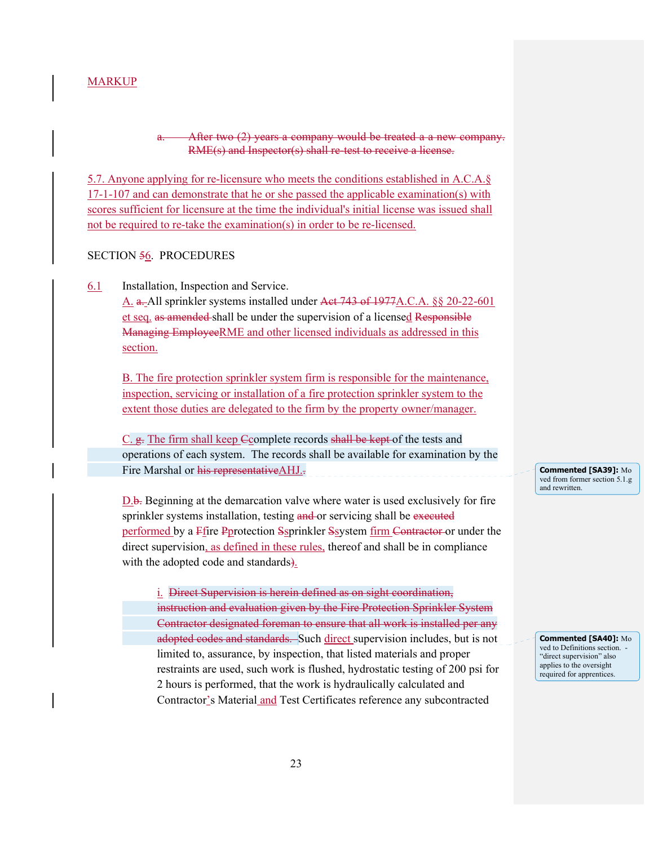#### After two (2) years a company would be treated a a new company. RME(s) and Inspector(s) shall re-test to receive a license.

5.7. Anyone applying for re-licensure who meets the conditions established in A.C.A.§ 17-1-107 and can demonstrate that he or she passed the applicable examination(s) with scores sufficient for licensure at the time the individual's initial license was issued shall not be required to re-take the examination(s) in order to be re-licensed.

#### SECTION 56. PROCEDURES

6.1 Installation, Inspection and Service.

A. a. All sprinkler systems installed under Act 743 of 1977A.C.A. §§ 20-22-601 et seq. as amended shall be under the supervision of a licensed Responsible Managing EmployeeRME and other licensed individuals as addressed in this section.

B. The fire protection sprinkler system firm is responsible for the maintenance, inspection, servicing or installation of a fire protection sprinkler system to the extent those duties are delegated to the firm by the property owner/manager.

C. g. The firm shall keep Ccomplete records shall be kept of the tests and operations of each system. The records shall be available for examination by the Fire Marshal or his representative AHJ...

D.b. Beginning at the demarcation valve where water is used exclusively for fire sprinkler systems installation, testing and or servicing shall be executed performed by a Ffire Pprotection Ssprinkler Ssystem firm Contractor or under the direct supervision, as defined in these rules, thereof and shall be in compliance with the adopted code and standards).

i. Direct Supervision is herein defined as on sight coordination, instruction and evaluation given by the Fire Protection Sprinkler System Contractor designated foreman to ensure that all work is installed per any adopted codes and standards. Such direct supervision includes, but is not limited to, assurance, by inspection, that listed materials and proper restraints are used, such work is flushed, hydrostatic testing of 200 psi for 2 hours is performed, that the work is hydraulically calculated and Contractor's Material and Test Certificates reference any subcontracted

**Commented [SA39]:** Mo ved from former section 5.1.g and rewritten.

**Commented [SA40]:** Mo ved to Definitions section. "direct supervision" also applies to the oversight required for apprentices.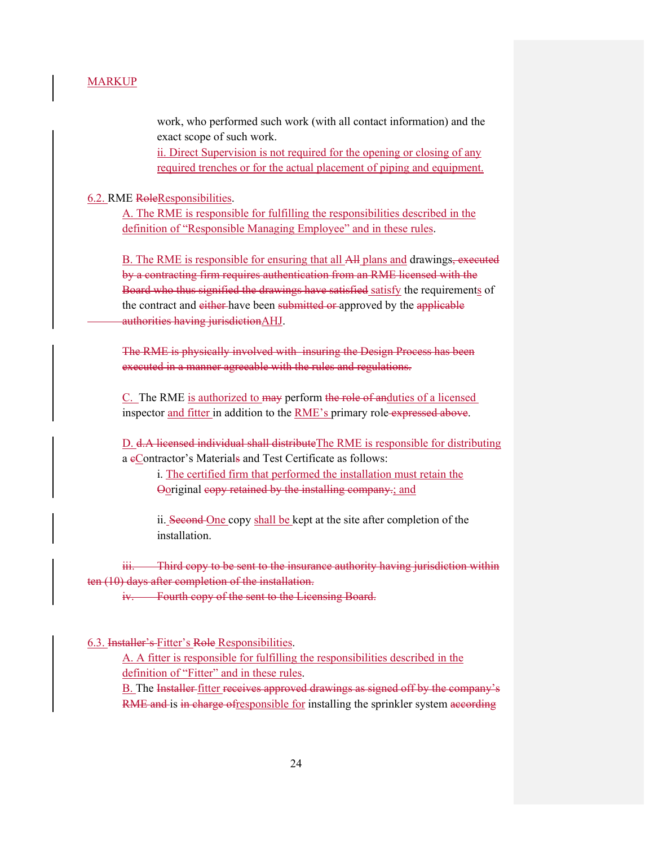work, who performed such work (with all contact information) and the exact scope of such work.

ii. Direct Supervision is not required for the opening or closing of any required trenches or for the actual placement of piping and equipment.

#### 6.2. RME RoleResponsibilities.

A. The RME is responsible for fulfilling the responsibilities described in the definition of "Responsible Managing Employee" and in these rules.

B. The RME is responsible for ensuring that all All plans and drawings, executed by a contracting firm requires authentication from an RME licensed with the Board who thus signified the drawings have satisfied satisfy the requirements of the contract and either have been submitted or approved by the applicable authorities having jurisdictionAHJ.

The RME is physically involved with insuring the Design Process has been executed in a manner agreeable with the rules and regulations.

C. The RME is authorized to may perform the role of anduties of a licensed inspector and fitter in addition to the RME's primary role-expressed above.

D. d.A licensed individual shall distribute The RME is responsible for distributing a eContractor's Materials and Test Certificate as follows:

 i. The certified firm that performed the installation must retain the Ooriginal copy retained by the installing company.; and

ii. Second One copy shall be kept at the site after completion of the installation.

iii. Third copy to be sent to the insurance authority having jurisdiction within ten (10) days after completion of the installation.

iv. Fourth copy of the sent to the Licensing Board.

6.3. Installer's Fitter's Role Responsibilities.

A. A fitter is responsible for fulfilling the responsibilities described in the definition of "Fitter" and in these rules.

B. The Installer fitter receives approved drawings as signed off by the company's RME and is in charge of responsible for installing the sprinkler system according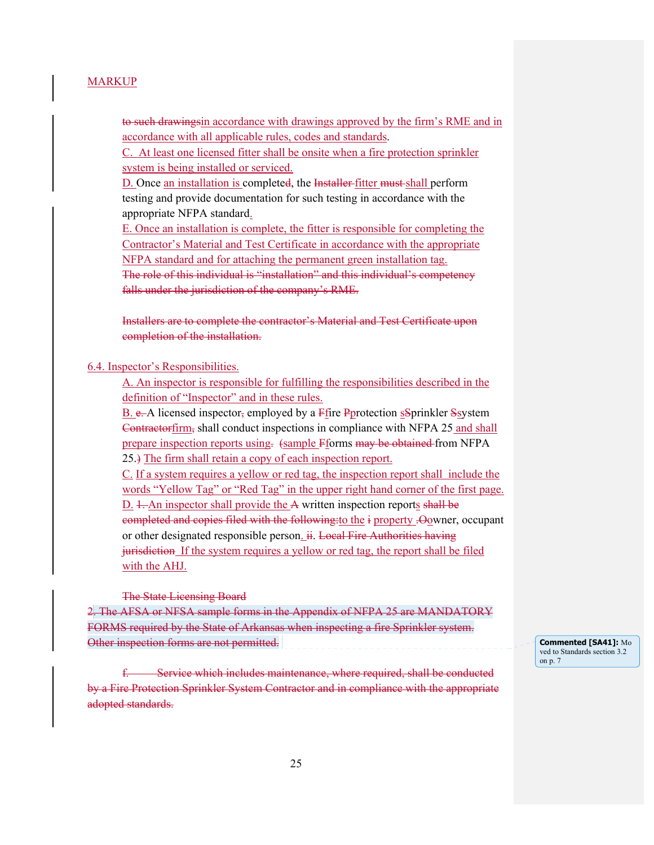to such drawingsin accordance with drawings approved by the firm's RME and in accordance with all applicable rules, codes and standards.

C. At least one licensed fitter shall be onsite when a fire protection sprinkler system is being installed or serviced.

D. Once an installation is completed, the <del>Installer</del> fitter must shall perform testing and provide documentation for such testing in accordance with the appropriate NFPA standard.

E. Once an installation is complete, the fitter is responsible for completing the Contractor's Material and Test Certificate in accordance with the appropriate NFPA standard and for attaching the permanent green installation tag. The role of this individual is "installation" and this individual's competency falls under the jurisdiction of the company's RME.

Installers are to complete the contractor's Material and Test Certificate upon completion of the installation.

6.4. Inspector's Responsibilities.

A. An inspector is responsible for fulfilling the responsibilities described in the definition of "Inspector" and in these rules.

B. e. A licensed inspector, employed by a Ffire Pprotection sSprinkler Ssystem Contractorfirm, shall conduct inspections in compliance with NFPA 25 and shall prepare inspection reports using. (sample Fforms may be obtained from NFPA 25.) The firm shall retain a copy of each inspection report.

C. If a system requires a yellow or red tag, the inspection report shall include the words "Yellow Tag" or "Red Tag" in the upper right hand corner of the first page. D. 1. An inspector shall provide the A written inspection reports shall be completed and copies filed with the following:to the i property .Oowner, occupant or other designated responsible person.  $\ddot{H}$ . Local Fire Authorities having jurisdiction If the system requires a yellow or red tag, the report shall be filed with the AHJ.

The State Licensing Board

2. The AFSA or NFSA sample forms in the Appendix of NFPA 25 are MANDATORY FORMS required by the State of Arkansas when inspecting a fire Sprinkler system. Other inspection forms are not permitted.

Service which includes maintenance, where required, shall be conducted by a Fire Protection Sprinkler System Contractor and in compliance with the appropriate adopted standards.

**Commented [SA41]:** Mo ved to Standards section 3.2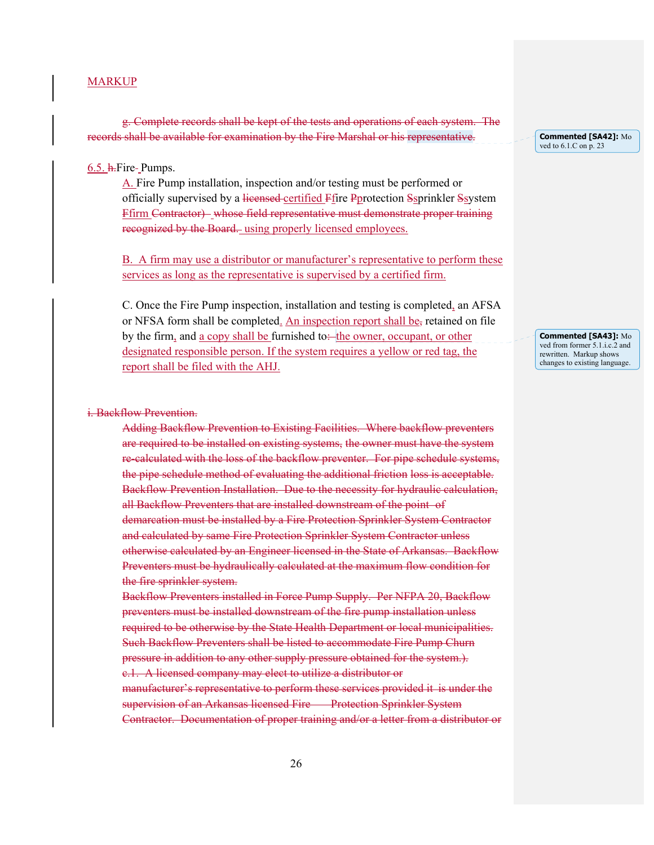g. Complete records shall be kept of the tests and operations of each system. The records shall be available for examination by the Fire Marshal or his representative.

#### $6.5.$  h. Fire-Pumps.

A. Fire Pump installation, inspection and/or testing must be performed or officially supervised by a licensed certified Ffire Pprotection Ssprinkler Ssystem Ffirm Contractor) whose field representative must demonstrate proper training recognized by the Board. using properly licensed employees.

B. A firm may use a distributor or manufacturer's representative to perform these services as long as the representative is supervised by a certified firm.

C. Once the Fire Pump inspection, installation and testing is completed, an AFSA or NFSA form shall be completed. An inspection report shall be, retained on file by the firm, and a copy shall be furnished to the owner, occupant, or other designated responsible person. If the system requires a yellow or red tag, the report shall be filed with the AHJ.

#### i. Backflow Prevention.

Adding Backflow Prevention to Existing Facilities. Where backflow preventers are required to be installed on existing systems, the owner must have the system re-calculated with the loss of the backflow preventer. For pipe schedule systems, the pipe schedule method of evaluating the additional friction loss is acceptable. Backflow Prevention Installation. Due to the necessity for hydraulic calculation, all Backflow Preventers that are installed downstream of the point of demarcation must be installed by a Fire Protection Sprinkler System Contractor and calculated by same Fire Protection Sprinkler System Contractor unless otherwise calculated by an Engineer licensed in the State of Arkansas. Backflow Preventers must be hydraulically calculated at the maximum flow condition for the fire sprinkler system.

Backflow Preventers installed in Force Pump Supply. Per NFPA 20, Backflow preventers must be installed downstream of the fire pump installation unless required to be otherwise by the State Health Department or local municipalities. Such Backflow Preventers shall be listed to accommodate Fire Pump Churn pressure in addition to any other supply pressure obtained for the system.). c.1. A licensed company may elect to utilize a distributor or manufacturer's representative to perform these services provided it is under the supervision of an Arkansas licensed Fire Protection Sprinkler System Contractor. Documentation of proper training and/or a letter from a distributor or **Commented [SA42]:** Mo ved to 6.1.C on p. 23

**Commented [SA43]:** Mo ved from former 5.1.i.c.2 and rewritten. Markup shows changes to existing language.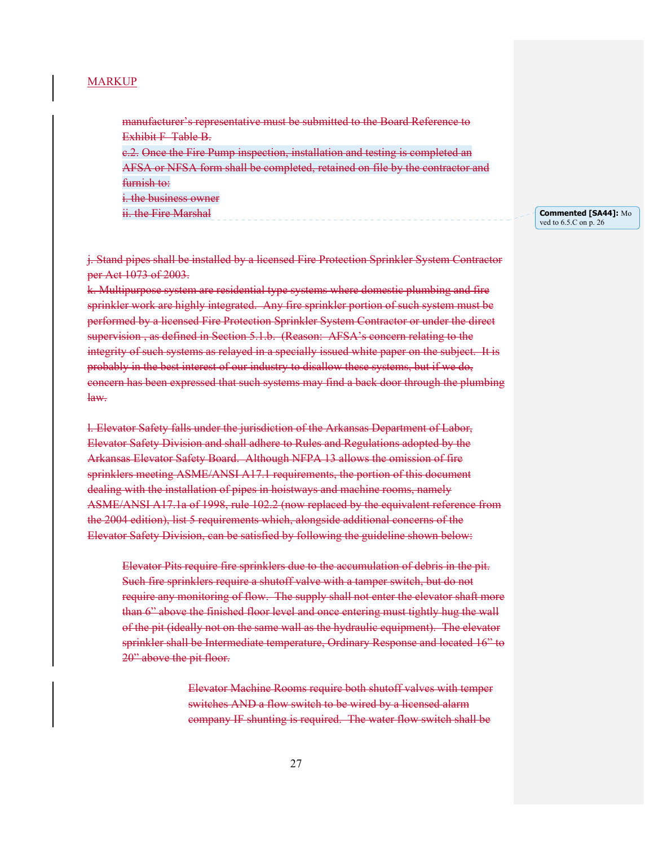manufacturer's representative must be submitted to the Board Reference to Exhibit F Table B.

e.2. Once the Fire Pump inspection, installation and testing is completed an AFSA or NFSA form shall be completed, retained on file by the contractor and furnish to: i. the business owner

ii. the Fire Marshal

**Commented [SA44]:** Mo ved to 6.5.C on p. 26

j. Stand pipes shall be installed by a licensed Fire Protection Sprinkler System Contractor per Act 1073 of 2003.

k. Multipurpose system are residential type systems where domestic plumbing and fire sprinkler work are highly integrated. Any fire sprinkler portion of such system must be performed by a licensed Fire Protection Sprinkler System Contractor or under the direct supervision , as defined in Section 5.1.b. (Reason: AFSA's concern relating to the integrity of such systems as relayed in a specially issued white paper on the subject. It is probably in the best interest of our industry to disallow these systems, but if we do, concern has been expressed that such systems may find a back door through the plumbing law.

l. Elevator Safety falls under the jurisdiction of the Arkansas Department of Labor, Elevator Safety Division and shall adhere to Rules and Regulations adopted by the Arkansas Elevator Safety Board. Although NFPA 13 allows the omission of fire sprinklers meeting ASME/ANSI A17.1 requirements, the portion of this document dealing with the installation of pipes in hoistways and machine rooms, namely ASME/ANSI A17.1a of 1998, rule 102.2 (now replaced by the equivalent reference from the 2004 edition), list 5 requirements which, alongside additional concerns of the Elevator Safety Division, can be satisfied by following the guideline shown below:

Elevator Pits require fire sprinklers due to the accumulation of debris in the pit. Such fire sprinklers require a shutoff valve with a tamper switch, but do not require any monitoring of flow. The supply shall not enter the elevator shaft more than 6" above the finished floor level and once entering must tightly hug the wall of the pit (ideally not on the same wall as the hydraulic equipment). The elevator sprinkler shall be Intermediate temperature, Ordinary Response and located 16" to 20" above the pit floor.

> Elevator Machine Rooms require both shutoff valves with temper switches AND a flow switch to be wired by a licensed alarm company IF shunting is required. The water flow switch shall be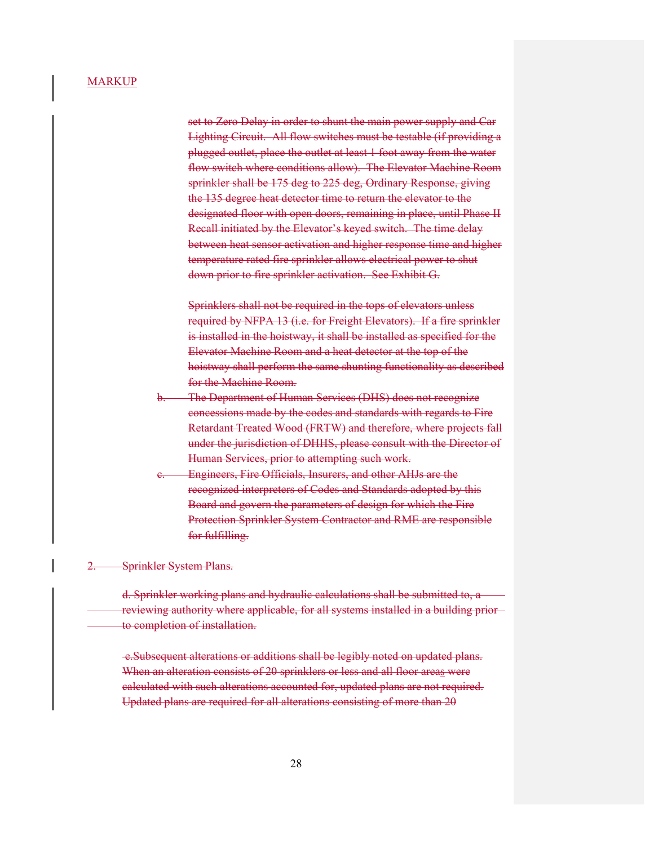set to Zero Delay in order to shunt the main power supply and Car Lighting Circuit. All flow switches must be testable (if providing a plugged outlet, place the outlet at least 1 foot away from the water flow switch where conditions allow). The Elevator Machine Room sprinkler shall be 175 deg to 225 deg, Ordinary Response, giving the 135 degree heat detector time to return the elevator to the designated floor with open doors, remaining in place, until Phase II Recall initiated by the Elevator's keyed switch. The time delay between heat sensor activation and higher response time and higher temperature rated fire sprinkler allows electrical power to shut down prior to fire sprinkler activation. See Exhibit G.

Sprinklers shall not be required in the tops of elevators unless required by NFPA 13 (i.e. for Freight Elevators). If a fire sprinkler is installed in the hoistway, it shall be installed as specified for the Elevator Machine Room and a heat detector at the top of the hoistway shall perform the same shunting functionality as described for the Machine Room.

- The Department of Human Services (DHS) does not recognize concessions made by the codes and standards with regards to Fire Retardant Treated Wood (FRTW) and therefore, where projects fall under the jurisdiction of DHHS, please consult with the Director of Human Services, prior to attempting such work.
- Engineers, Fire Officials, Insurers, and other AHJs are the recognized interpreters of Codes and Standards adopted by this Board and govern the parameters of design for which the Fire Protection Sprinkler System Contractor and RME are responsible for fulfilling.

2. Sprinkler System Plans.

 d. Sprinkler working plans and hydraulic calculations shall be submitted to, a reviewing authority where applicable, for all systems installed in a building prior to completion of installation.

 e.Subsequent alterations or additions shall be legibly noted on updated plans. When an alteration consists of 20 sprinklers or less and all floor areas were calculated with such alterations accounted for, updated plans are not required. Updated plans are required for all alterations consisting of more than 20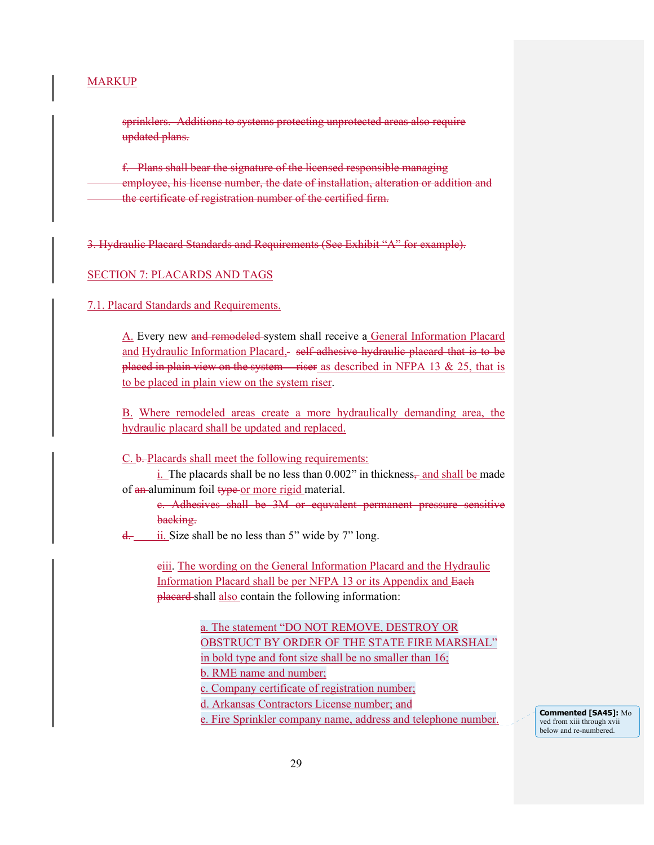sprinklers. Additions to systems protecting unprotected areas also require updated plans.

f. Plans shall bear the signature of the licensed responsible managing employee, his license number, the date of installation, alteration or addition and the certificate of registration number of the certified firm.

3. Hydraulic Placard Standards and Requirements (See Exhibit "A" for example).

#### SECTION 7: PLACARDS AND TAGS

#### 7.1. Placard Standards and Requirements.

A. Every new and remodeled system shall receive a General Information Placard and Hydraulic Information Placard, self-adhesive hydraulic placard that is to be placed in plain view on the system riser as described in NFPA 13  $& 25$ , that is to be placed in plain view on the system riser.

B. Where remodeled areas create a more hydraulically demanding area, the hydraulic placard shall be updated and replaced.

C. b. Placards shall meet the following requirements:

 $i$ . The placards shall be no less than  $0.002$ " in thickness, and shall be made of an aluminum foil type or more rigid material.

c. Adhesives shall be 3M or equvalent permanent pressure sensitive backing.

 $\frac{d}{dx}$  ii. Size shall be no less than 5" wide by 7" long.

eiii. The wording on the General Information Placard and the Hydraulic Information Placard shall be per NFPA 13 or its Appendix and Each placard-shall also contain the following information:

> a. The statement "DO NOT REMOVE, DESTROY OR OBSTRUCT BY ORDER OF THE STATE FIRE MARSHAL" in bold type and font size shall be no smaller than 16; b. RME name and number; c. Company certificate of registration number; d. Arkansas Contractors License number; and e. Fire Sprinkler company name, address and telephone number.

ved from xiii through xvii below and re-numbered.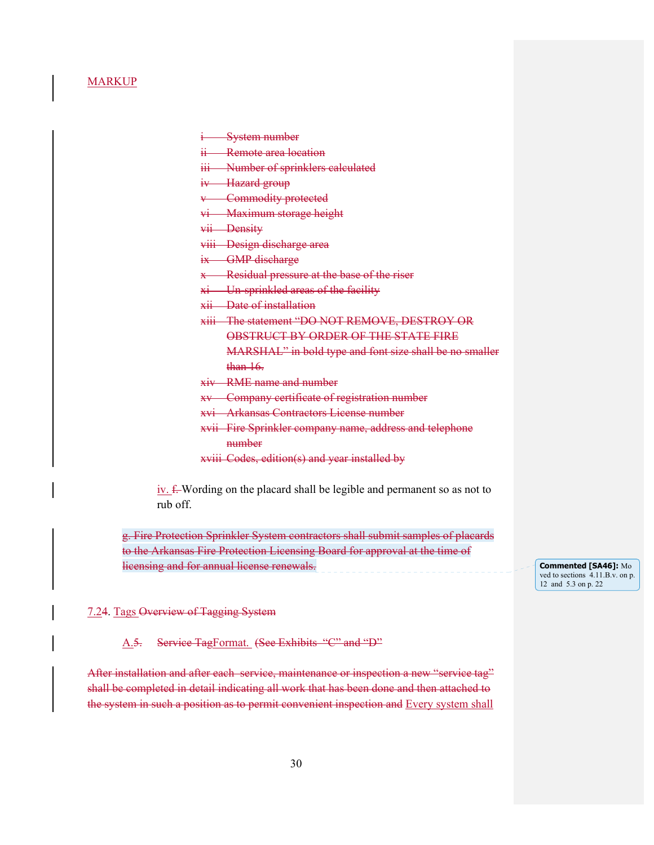i System number

ii Remote area location

iii Number of sprinklers calculated

iv Hazard group

v Commodity protected

vi Maximum storage height

vii Density

viii Design discharge area

ix GMP discharge

x Residual pressure at the base of the riser

xi Un-sprinkled areas of the facility

xii Date of installation

xiii The statement "DO NOT REMOVE, DESTROY OR

OBSTRUCT BY ORDER OF THE STATE FIRE

MARSHAL" in bold type and font size shall be no smaller than 16.

xiv RME name and number

xv Company certificate of registration number

xvi Arkansas Contractors License number

xvii Fire Sprinkler company name, address and telephone number

xviii Codes, edition(s) and year installed by

iv. f. Wording on the placard shall be legible and permanent so as not to rub off.

g. Fire Protection Sprinkler System contractors shall submit samples of placards to the Arkansas Fire Protection Licensing Board for approval at the time of licensing and for annual license renewals.

**Commented [SA46]:** Mo ved to sections 4.11.B.v. on p. 12 and 5.3 on p. 22

7.24. Tags Overview of Tagging System

A.5. Service TagFormat. (See Exhibits "C" and "D"

After installation and after each service, maintenance or inspection a new "service tag" shall be completed in detail indicating all work that has been done and then attached to the system in such a position as to permit convenient inspection and Every system shall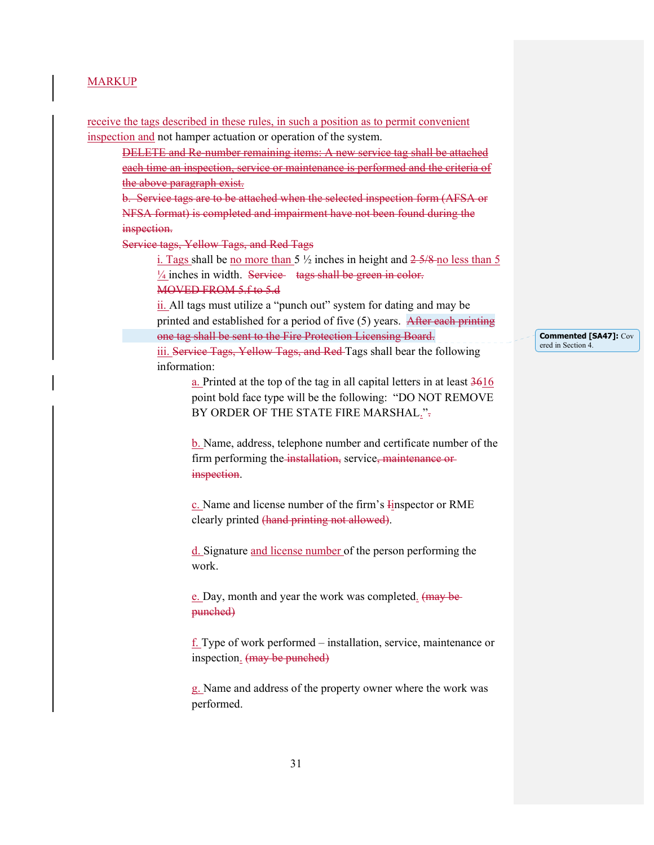receive the tags described in these rules, in such a position as to permit convenient inspection and not hamper actuation or operation of the system. DELETE and Re-number remaining items: A new service tag shall be attached each time an inspection, service or maintenance is performed and the criteria of the above paragraph exist. b. Service tags are to be attached when the selected inspection form (AFSA or NFSA format) is completed and impairment have not been found during the inspection. Service tags, Yellow Tags, and Red Tags i. Tags shall be no more than 5  $\frac{1}{2}$  inches in height and  $\frac{2.5}{8}$  no less than 5  $\frac{1}{4}$  inches in width. Service tags shall be green in color. MOVED FROM 5.f to 5.d ii. All tags must utilize a "punch out" system for dating and may be printed and established for a period of five (5) years. After each printing one tag shall be sent to the Fire Protection Licensing Board. iii. Service Tags, Yellow Tags, and Red Tags shall bear the following information: a. Printed at the top of the tag in all capital letters in at least 3616 point bold face type will be the following: "DO NOT REMOVE BY ORDER OF THE STATE FIRE MARSHAL.". b. Name, address, telephone number and certificate number of the firm performing the installation, service, maintenance or inspection. c. Name and license number of the firm's Iinspector or RME clearly printed (hand printing not allowed). d. Signature and license number of the person performing the work. e. Day, month and year the work was completed. (may be punched)  $\underline{f}$ . Type of work performed – installation, service, maintenance or inspection. (may be punched) g. Name and address of the property owner where the work was performed.

**Commented [SA47]:** Cov ered in Section 4.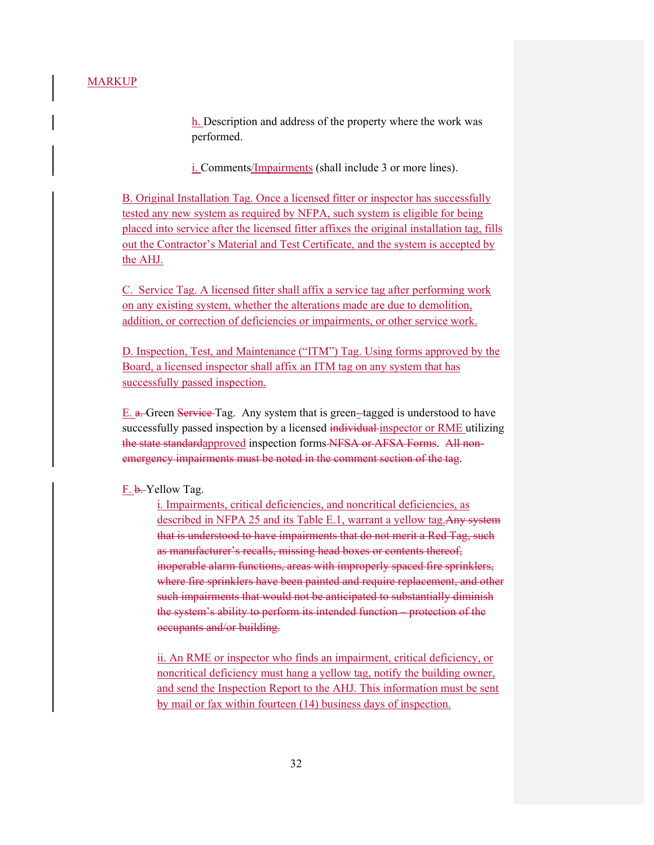h. Description and address of the property where the work was performed.

i. Comments/Impairments (shall include 3 or more lines).

B. Original Installation Tag. Once a licensed fitter or inspector has successfully tested any new system as required by NFPA, such system is eligible for being placed into service after the licensed fitter affixes the original installation tag, fills out the Contractor's Material and Test Certificate, and the system is accepted by the AHJ.

C. Service Tag. A licensed fitter shall affix a service tag after performing work on any existing system, whether the alterations made are due to demolition, addition, or correction of deficiencies or impairments, or other service work.

D. Inspection, Test, and Maintenance ("ITM") Tag. Using forms approved by the Board, a licensed inspector shall affix an ITM tag on any system that has successfully passed inspection.

E. a. Green Service Tag. Any system that is green- tagged is understood to have successfully passed inspection by a licensed individual inspector or RME utilizing the state standardapproved inspection forms NFSA or AFSA Forms. All nonemergency impairments must be noted in the comment section of the tag.

#### F. b. Yellow Tag.

i. Impairments, critical deficiencies, and noncritical deficiencies, as described in NFPA 25 and its Table E.1, warrant a yellow tag. Any system that is understood to have impairments that do not merit a Red Tag, such as manufacturer's recalls, missing head boxes or contents thereof, inoperable alarm functions, areas with improperly spaced fire sprinklers, where fire sprinklers have been painted and require replacement, and other such impairments that would not be anticipated to substantially diminish the system's ability to perform its intended function – protection of the occupants and/or building.

ii. An RME or inspector who finds an impairment, critical deficiency, or noncritical deficiency must hang a yellow tag, notify the building owner, and send the Inspection Report to the AHJ. This information must be sent by mail or fax within fourteen (14) business days of inspection.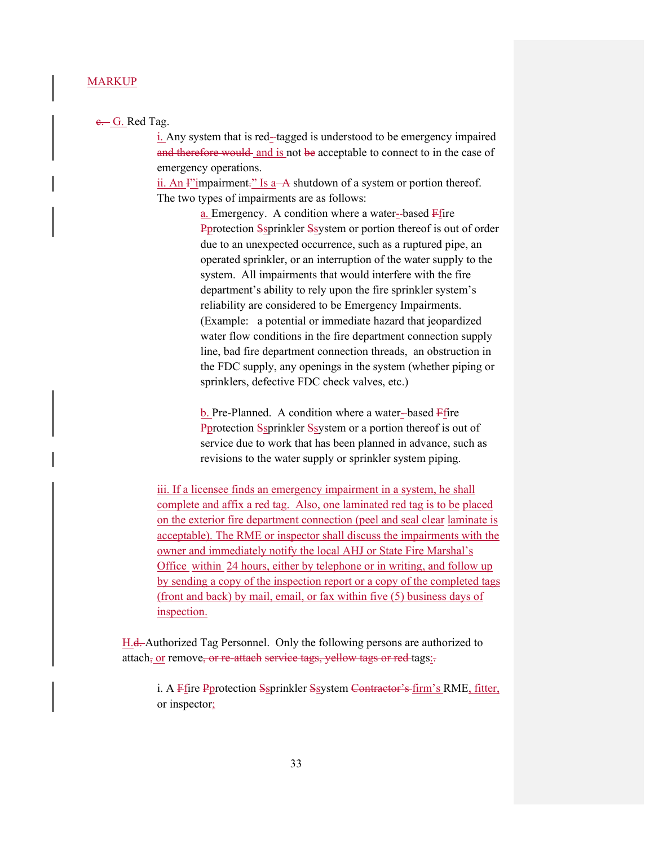#### e. G. Red Tag.

 i. Any system that is red- tagged is understood to be emergency impaired and therefore would and is not be acceptable to connect to in the case of emergency operations.

ii. An  $\Gamma$  impairment." Is a  $\rightarrow$  shutdown of a system or portion thereof. The two types of impairments are as follows:

> a. Emergency. A condition where a water--based  $\overline{F}$ fire Pprotection Ssprinkler Ssystem or portion thereof is out of order due to an unexpected occurrence, such as a ruptured pipe, an operated sprinkler, or an interruption of the water supply to the system. All impairments that would interfere with the fire department's ability to rely upon the fire sprinkler system's reliability are considered to be Emergency Impairments. (Example: a potential or immediate hazard that jeopardized water flow conditions in the fire department connection supply line, bad fire department connection threads, an obstruction in the FDC supply, any openings in the system (whether piping or sprinklers, defective FDC check valves, etc.)

 $b$ . Pre-Planned. A condition where a water-based  $F$ fire Pprotection Ssprinkler Ssystem or a portion thereof is out of service due to work that has been planned in advance, such as revisions to the water supply or sprinkler system piping.

iii. If a licensee finds an emergency impairment in a system, he shall complete and affix a red tag. Also, one laminated red tag is to be placed on the exterior fire department connection (peel and seal clear laminate is acceptable). The RME or inspector shall discuss the impairments with the owner and immediately notify the local AHJ or State Fire Marshal's Office within 24 hours, either by telephone or in writing, and follow up by sending a copy of the inspection report or a copy of the completed tags (front and back) by mail, email, or fax within five (5) business days of inspection.

H.d. Authorized Tag Personnel. Only the following persons are authorized to attach, or remove, or re-attach service tags, yellow tags or red-tags:

i. A Ffire Pprotection Ssprinkler Ssystem Contractor's firm's RME, fitter, or inspector;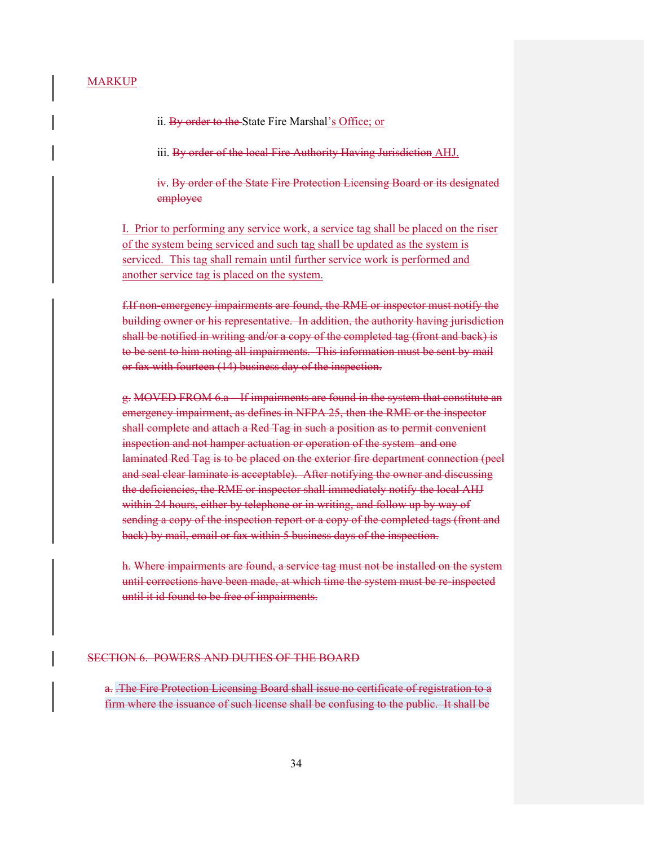ii. By order to the State Fire Marshal's Office; or

iii. By order of the local Fire Authority Having Jurisdiction AHJ.

iv. By order of the State Fire Protection Licensing Board or its designated employee

I. Prior to performing any service work, a service tag shall be placed on the riser of the system being serviced and such tag shall be updated as the system is serviced. This tag shall remain until further service work is performed and another service tag is placed on the system.

f.If non-emergency impairments are found, the RME or inspector must notify the building owner or his representative. In addition, the authority having jurisdiction shall be notified in writing and/or a copy of the completed tag (front and back) is to be sent to him noting all impairments. This information must be sent by mail or fax with fourteen (14) business day of the inspection.

g. MOVED FROM 6.a – If impairments are found in the system that constitute an emergency impairment, as defines in NFPA 25, then the RME or the inspector shall complete and attach a Red Tag in such a position as to permit convenient inspection and not hamper actuation or operation of the system and one laminated Red Tag is to be placed on the exterior fire department connection (peel and seal clear laminate is acceptable). After notifying the owner and discussing the deficiencies, the RME or inspector shall immediately notify the local AHJ within 24 hours, either by telephone or in writing, and follow up by way of sending a copy of the inspection report or a copy of the completed tags (front and back) by mail, email or fax within 5 business days of the inspection.

h. Where impairments are found, a service tag must not be installed on the system until corrections have been made, at which time the system must be re-inspected until it id found to be free of impairments.

#### SECTION 6. POWERS AND DUTIES OF THE BOARD

a. .The Fire Protection Licensing Board shall issue no certificate of registration to a firm where the issuance of such license shall be confusing to the public. It shall be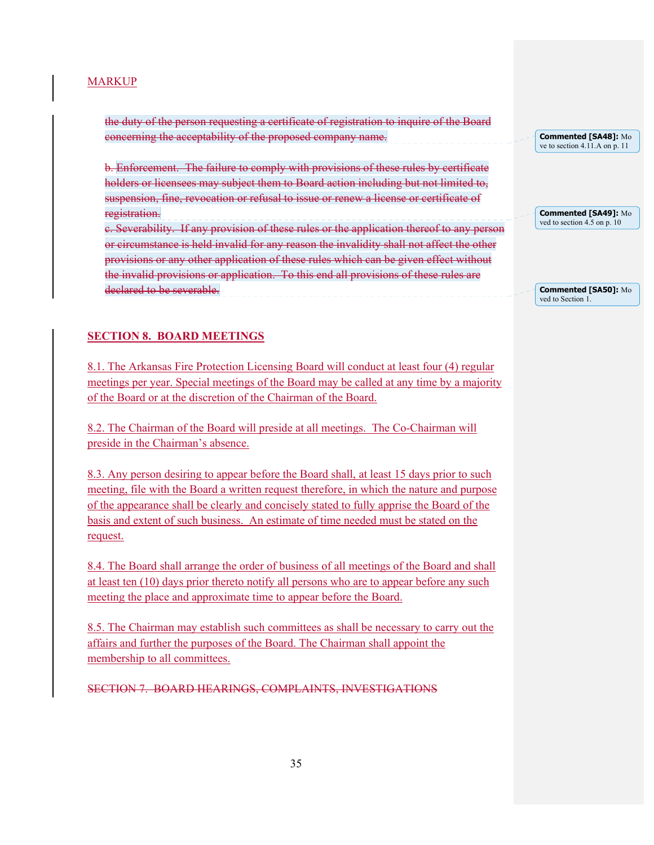the duty of the person requesting a certificate of registration to inquire of the Board concerning the acceptability of the proposed company name.

b. Enforcement. The failure to comply with provisions of these rules by certificate holders or licensees may subject them to Board action including but not limited to, suspension, fine, revocation or refusal to issue or renew a license or certificate of registration. c. Severability. If any provision of these rules or the application thereof to any person or circumstance is held invalid for any reason the invalidity shall not affect the other provisions or any other application of these rules which can be given effect without the invalid provisions or application. To this end all provisions of these rules are declared to be severable.

**Commented [SA48]:** Mo ve to section 4.11.A on p. 11

**Commented [SA49]:** Mo ved to section 4.5 on p. 10

**Commented [SA50]:** Mo ved to Section 1.

## **SECTION 8. BOARD MEETINGS**

8.1. The Arkansas Fire Protection Licensing Board will conduct at least four (4) regular meetings per year. Special meetings of the Board may be called at any time by a majority of the Board or at the discretion of the Chairman of the Board.

8.2. The Chairman of the Board will preside at all meetings. The Co-Chairman will preside in the Chairman's absence.

8.3. Any person desiring to appear before the Board shall, at least 15 days prior to such meeting, file with the Board a written request therefore, in which the nature and purpose of the appearance shall be clearly and concisely stated to fully apprise the Board of the basis and extent of such business. An estimate of time needed must be stated on the request.

8.4. The Board shall arrange the order of business of all meetings of the Board and shall at least ten (10) days prior thereto notify all persons who are to appear before any such meeting the place and approximate time to appear before the Board.

8.5. The Chairman may establish such committees as shall be necessary to carry out the affairs and further the purposes of the Board. The Chairman shall appoint the membership to all committees.

SECTION 7. BOARD HEARINGS, COMPLAINTS, INVESTIGATIONS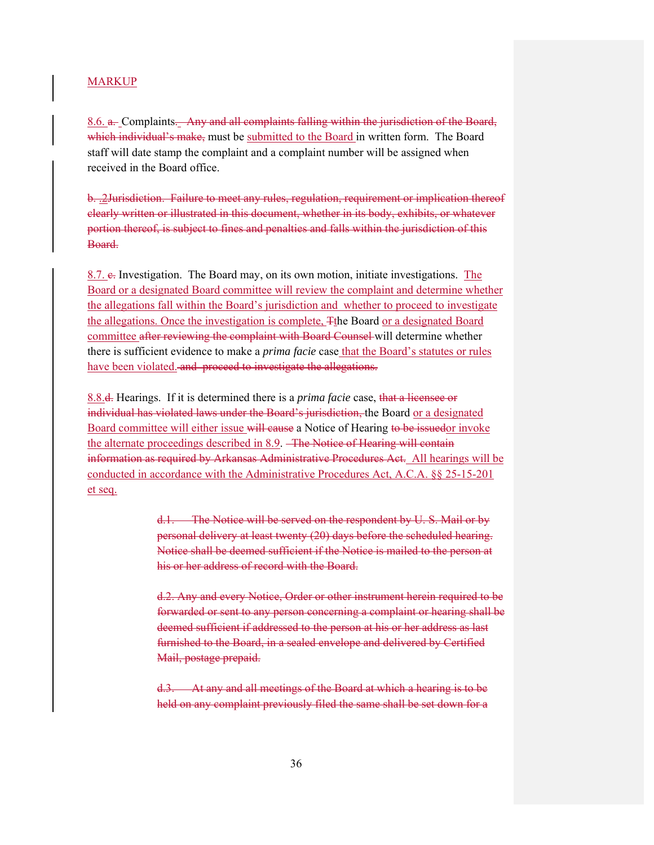8.6. a. Complaints. Any and all complaints falling within the jurisdiction of the Board, which individual's make, must be submitted to the Board in written form. The Board staff will date stamp the complaint and a complaint number will be assigned when received in the Board office.

b. .2Jurisdiction. Failure to meet any rules, regulation, requirement or implication thereof clearly written or illustrated in this document, whether in its body, exhibits, or whatever portion thereof, is subject to fines and penalties and falls within the jurisdiction of this Board.

8.7. e. Investigation. The Board may, on its own motion, initiate investigations. The Board or a designated Board committee will review the complaint and determine whether the allegations fall within the Board's jurisdiction and whether to proceed to investigate the allegations. Once the investigation is complete, Tthe Board or a designated Board committee after reviewing the complaint with Board Counsel will determine whether there is sufficient evidence to make a *prima facie* case that the Board's statutes or rules have been violated. and proceed to investigate the allegations.

8.8.d. Hearings. If it is determined there is a *prima facie* case, that a licensee or individual has violated laws under the Board's jurisdiction, the Board or a designated Board committee will either issue will cause a Notice of Hearing to be issuedor invoke the alternate proceedings described in 8.9. The Notice of Hearing will contain information as required by Arkansas Administrative Procedures Act. All hearings will be conducted in accordance with the Administrative Procedures Act, A.C.A. §§ 25-15-201 et seq.

> d.1. The Notice will be served on the respondent by U. S. Mail or by personal delivery at least twenty (20) days before the scheduled hearing. Notice shall be deemed sufficient if the Notice is mailed to the person at his or her address of record with the Board.

d.2. Any and every Notice, Order or other instrument herein required to be forwarded or sent to any person concerning a complaint or hearing shall be deemed sufficient if addressed to the person at his or her address as last furnished to the Board, in a sealed envelope and delivered by Certified Mail, postage prepaid.

d.3. At any and all meetings of the Board at which a hearing is to be held on any complaint previously filed the same shall be set down for a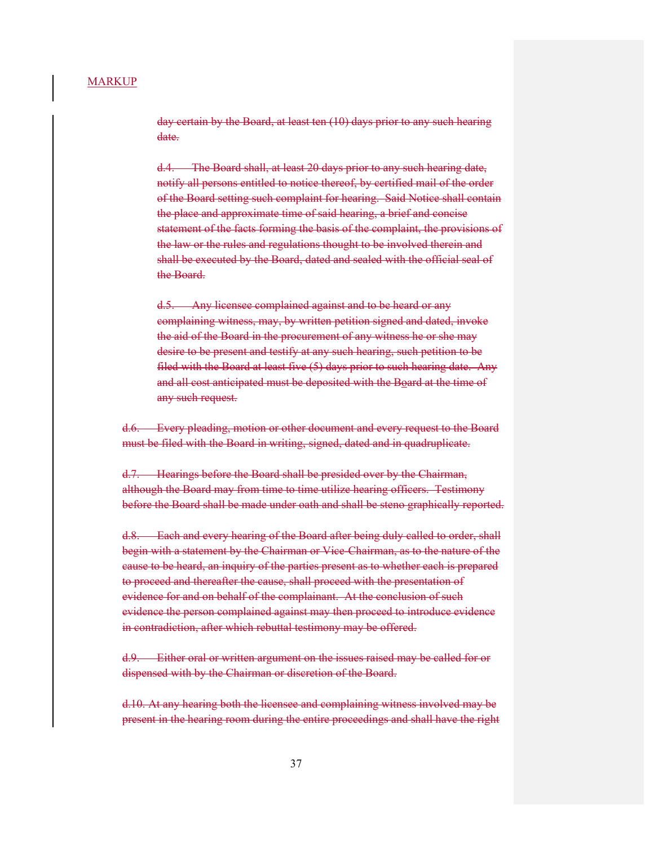day certain by the Board, at least ten (10) days prior to any such hearing date.

d.4. The Board shall, at least 20 days prior to any such hearing date, notify all persons entitled to notice thereof, by certified mail of the order of the Board setting such complaint for hearing. Said Notice shall contain the place and approximate time of said hearing, a brief and concise statement of the facts forming the basis of the complaint, the provisions of the law or the rules and regulations thought to be involved therein and shall be executed by the Board, dated and sealed with the official seal of the Board.

d.5. Any licensee complained against and to be heard or any complaining witness, may, by written petition signed and dated, invoke the aid of the Board in the procurement of any witness he or she may desire to be present and testify at any such hearing, such petition to be filed with the Board at least five (5) days prior to such hearing date. Any and all cost anticipated must be deposited with the Board at the time of any such request.

d.6. Every pleading, motion or other document and every request to the Board must be filed with the Board in writing, signed, dated and in quadruplicate.

d.7. Hearings before the Board shall be presided over by the Chairman, although the Board may from time to time utilize hearing officers. Testimony before the Board shall be made under oath and shall be steno graphically reported.

d.8. Each and every hearing of the Board after being duly called to order, shall begin with a statement by the Chairman or Vice-Chairman, as to the nature of the cause to be heard, an inquiry of the parties present as to whether each is prepared to proceed and thereafter the cause, shall proceed with the presentation of evidence for and on behalf of the complainant. At the conclusion of such evidence the person complained against may then proceed to introduce evidence in contradiction, after which rebuttal testimony may be offered.

d.9. Either oral or written argument on the issues raised may be called for or dispensed with by the Chairman or discretion of the Board.

d.10. At any hearing both the licensee and complaining witness involved may be present in the hearing room during the entire proceedings and shall have the right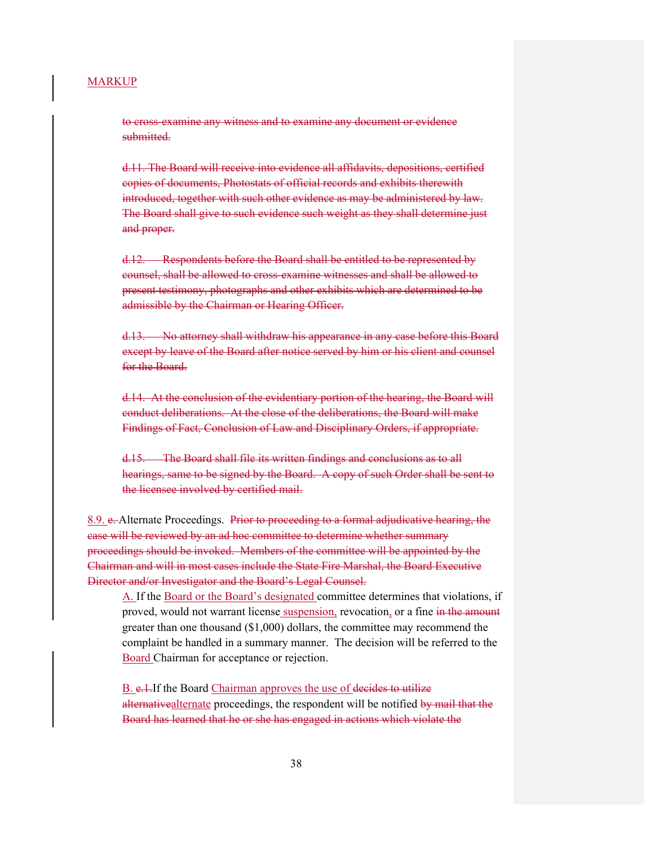to cross-examine any witness and to examine any document or evidence submitted.

d.11. The Board will receive into evidence all affidavits, depositions, certified copies of documents, Photostats of official records and exhibits therewith introduced, together with such other evidence as may be administered by law. The Board shall give to such evidence such weight as they shall determine just and proper.

d.12. Respondents before the Board shall be entitled to be represented by counsel, shall be allowed to cross-examine witnesses and shall be allowed to present testimony, photographs and other exhibits which are determined to be admissible by the Chairman or Hearing Officer.

d.13. No attorney shall withdraw his appearance in any case before this Board except by leave of the Board after notice served by him or his client and counsel for the Board.

d.14. At the conclusion of the evidentiary portion of the hearing, the Board will conduct deliberations. At the close of the deliberations, the Board will make Findings of Fact, Conclusion of Law and Disciplinary Orders, if appropriate.

d.15. The Board shall file its written findings and conclusions as to all hearings, same to be signed by the Board. A copy of such Order shall be sent to the licensee involved by certified mail.

8.9. e. Alternate Proceedings. Prior to proceeding to a formal adjudicative hearing, the case will be reviewed by an ad hoc committee to determine whether summary proceedings should be invoked. Members of the committee will be appointed by the Chairman and will in most cases include the State Fire Marshal, the Board Executive Director and/or Investigator and the Board's Legal Counsel.

A. If the Board or the Board's designated committee determines that violations, if proved, would not warrant license suspension, revocation, or a fine in the amount greater than one thousand (\$1,000) dollars, the committee may recommend the complaint be handled in a summary manner. The decision will be referred to the Board Chairman for acceptance or rejection.

B. e.1.If the Board Chairman approves the use of decides to utilize alternativealternate proceedings, the respondent will be notified by mail that the Board has learned that he or she has engaged in actions which violate the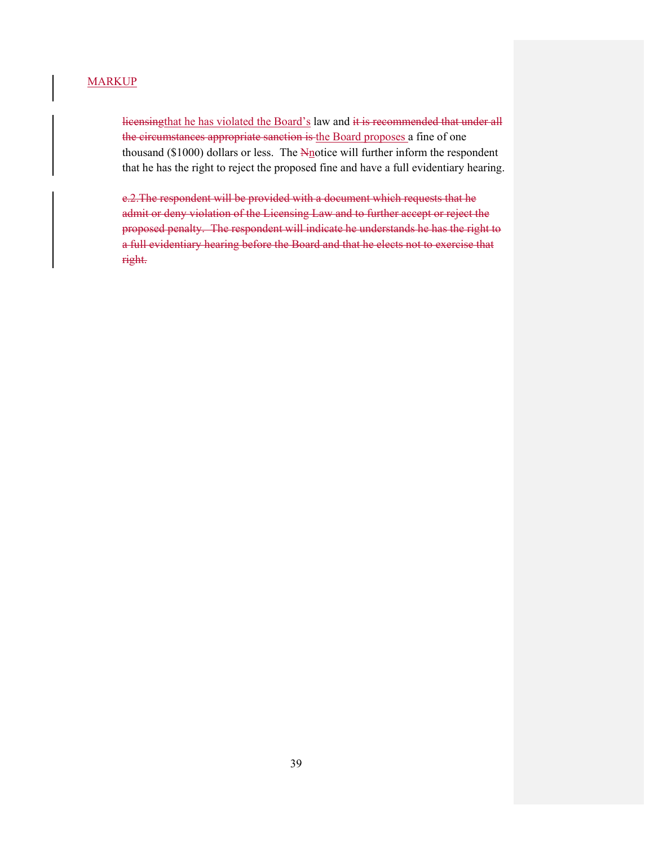licensingthat he has violated the Board's law and it is recommended that under all the circumstances appropriate sanction is the Board proposes a fine of one thousand ( $$1000$ ) dollars or less. The  $N<sub>n</sub>$ otice will further inform the respondent that he has the right to reject the proposed fine and have a full evidentiary hearing.

e.2.The respondent will be provided with a document which requests that he admit or deny violation of the Licensing Law and to further accept or reject the proposed penalty. The respondent will indicate he understands he has the right to a full evidentiary hearing before the Board and that he elects not to exercise that right.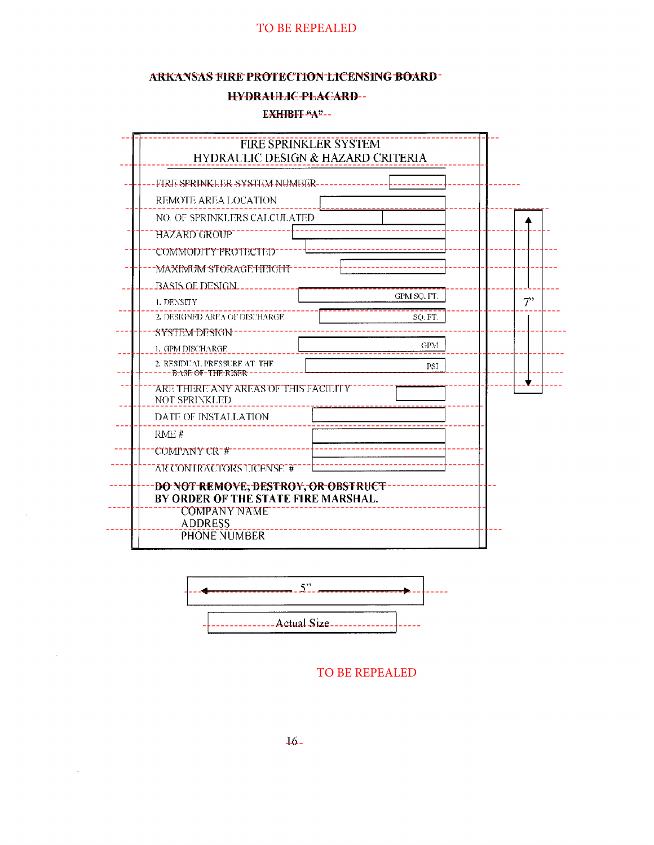## ARKANSAS FIRE PROTECTION LICENSING BOARD-

#### **HYDRAULIC-PLACARD--**

#### EXHIBIT "A"--



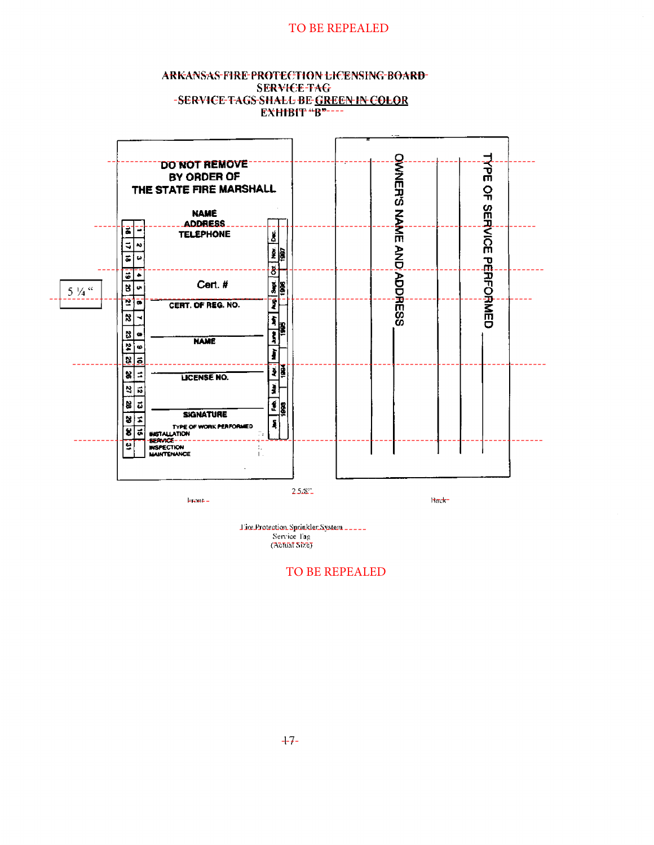#### ARKANSAS-FIRE-PROTECTION LICENSING-BOARD-**SERVICE-TAG** -SERVICE-TAGS-SHALL BE-GREEN IN COLOR **EXHIBIT** "B"---



Tire Protection Sprinkler System \_\_\_\_\_ Service l'ag<br>(Abhat Size)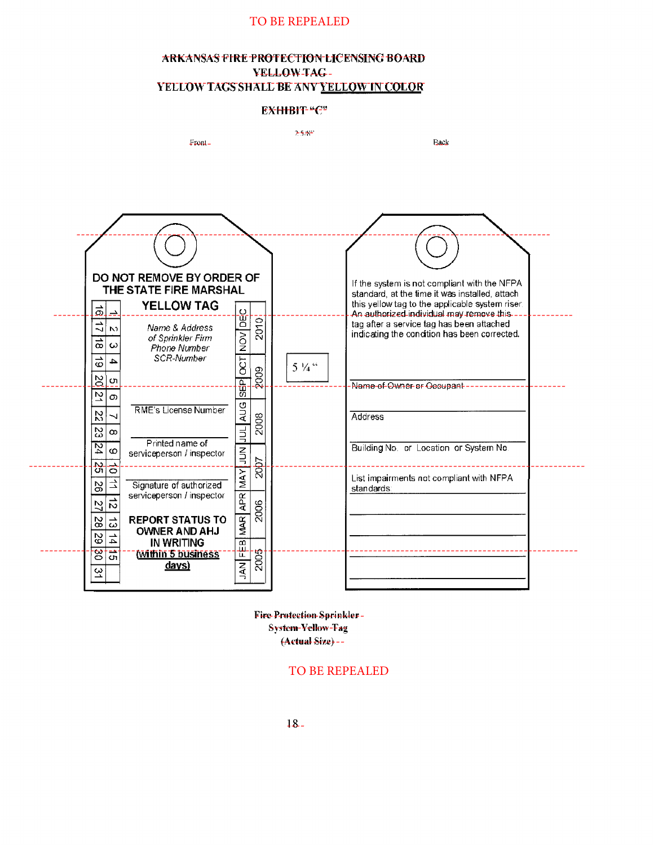## ARKANSAS FIRE PROTECTION LICENSING BOARD **YELLOWTAG-**YELLOW TAGS SHALL BE ANY YELLOW IN COLOR

#### ЕХННВІТ-"С"



Fire Protection Sprinkler-**System-Yellow-Fag** (Actual Size) --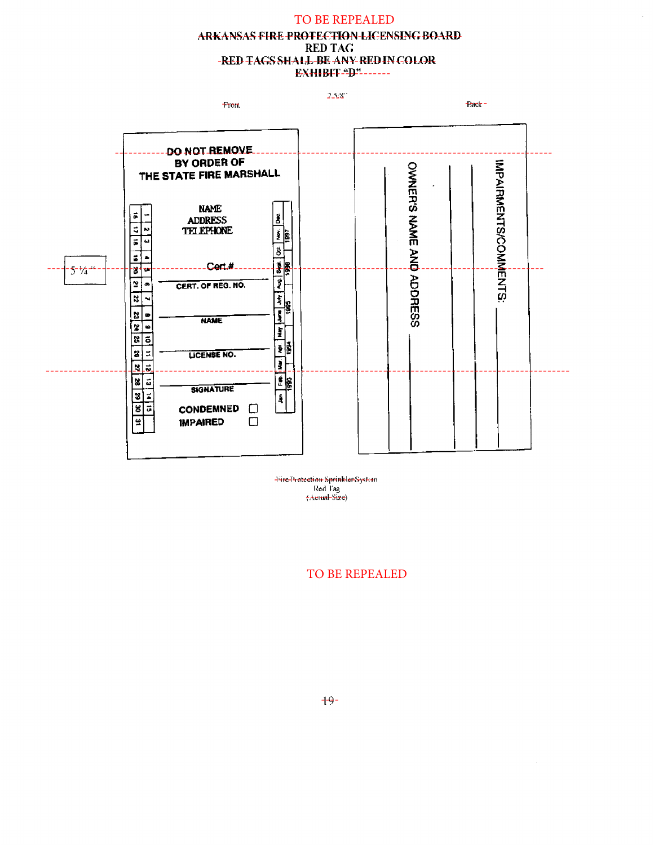## TO BE REPEALED ARKANSAS FIRE PROTECTION-LICENSING BOARD **RED TAG** -RED TAGS SHALL-BE ANY-RED IN COLOR **EXHIBIT-PP------**

 $2.523^{\circ}$ 



 $Back =$ 



Türe Protection Sprinkler System Red Tag<br>(Aetual-Size)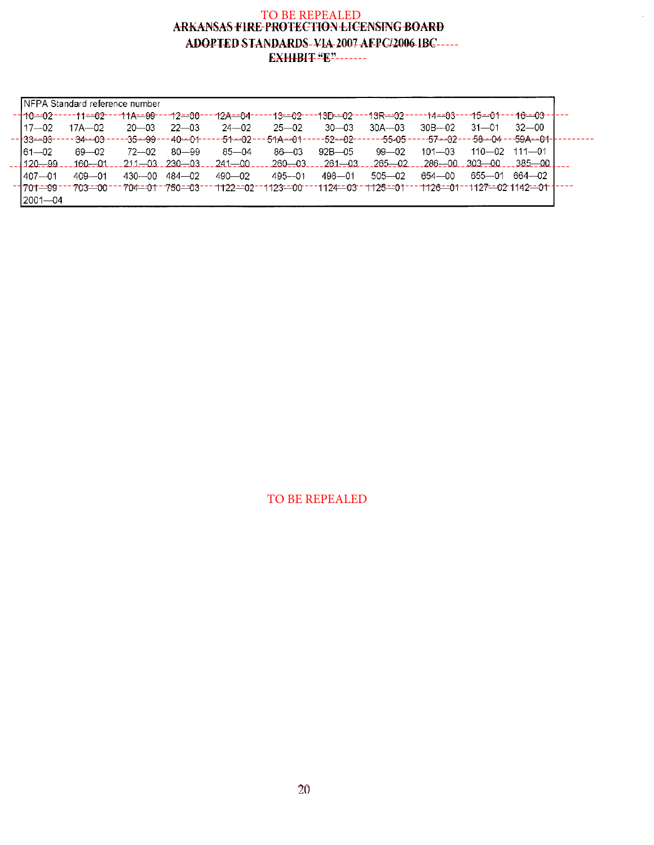# TO BE REPEALED<br>ARKANSAS FIRE-PROTECTION LICENSING BOARD ADOPTED STANDARDS-VIA-2007 AFPC/2006-IBC-----**EXHIBIT** "E"------

 $\tilde{\mathcal{L}}$ 

| - <del>110--02</del> - |                             |           |                                 | 12 <del>A--0</del> 4-                                                           |                                   |                 |                        |                                |           |                                                                                                                                                                                                                                                           |
|------------------------|-----------------------------|-----------|---------------------------------|---------------------------------------------------------------------------------|-----------------------------------|-----------------|------------------------|--------------------------------|-----------|-----------------------------------------------------------------------------------------------------------------------------------------------------------------------------------------------------------------------------------------------------------|
| $117 - 02$             | 17A—02                      | $20 - 03$ | $22 - 03$                       | $24 - 02$                                                                       | $25 - 02$                         | $30 - 03$       | $30A - 03$             | $30B - 02$                     | $31 - 01$ | $32 - 00$                                                                                                                                                                                                                                                 |
|                        | - <del>34--03</del> -       |           | --4 <del>0--0</del> 1--         | - 51 - 02 -                                                                     | - <del>51A--0</del> 1--           | -52--02-        | .-- <del>55-05</del> . |                                |           |                                                                                                                                                                                                                                                           |
| $61 - 02$              | $69 - 02$                   | $72 - 02$ | $80 - 99$                       | $85 - 04$                                                                       | $86 - 03$                         | $92B - 05$      | $99 - 02$              | $101 - 03$                     |           |                                                                                                                                                                                                                                                           |
| $1120 - 99$            | .160—01                     |           |                                 | $-241 - 00$                                                                     | .260—03.                          | <u> 261—03 </u> | .265 <u>—02 </u>       |                                |           | – 385—00 L                                                                                                                                                                                                                                                |
| $1407 - 01$            | $409 - 01$                  | 430—00    |                                 | $490 - 02$                                                                      | $495 - 01$                        | $498 - 01$      | $505 - 02$             | 654-00                         |           |                                                                                                                                                                                                                                                           |
| $-1701 - 99$           | 703-00-                     |           |                                 |                                                                                 |                                   |                 |                        |                                |           |                                                                                                                                                                                                                                                           |
|                        |                             |           |                                 |                                                                                 |                                   |                 |                        |                                |           |                                                                                                                                                                                                                                                           |
|                        | $-133-03-1$<br>$12001 - 04$ |           | INFPA Standard reference number | -35 <del>--99</del> ---<br>$211 - 03$ 230 $-03$<br>$484 - 02$<br>-704-01-750-03 | ----t1--02----11A--99----12--00-- |                 |                        | ---13--02---13D--02---13R--02- |           | --+4==03----1 <del>5--01</del> ---1 <del>6--03</del> -1---<br>- <del>-57--02---58--04--59A--01</del> -<br>110-02 111-01<br>_286__00__303 <sup>__</sup> 00_<br>655—01 664—02<br>--1122--02-1123--00---1124--03-1125--01---1126--01--1127--02-1142--01-1--- |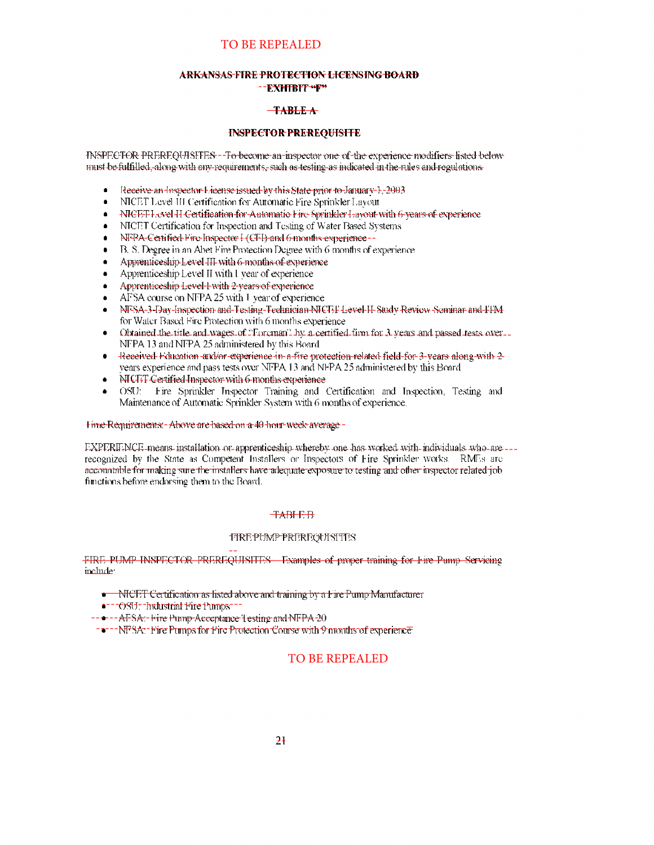#### ARKANSAS FIRE PROTECTION LICENSING BOARD --EXHIBIT-F\*

#### $-**TABLE A**$

#### **INSPECTOR PREREOUISITE**

TNSPECTOR PREREOUTSFES: - To become an inspector one of the experience modifiers listed below must be fulfilled, along with any pequirements, such as testing as indicated in the rules and regulations.

- Receive an Inspector License issued by this State prior to January 1, 2003  $\bullet$
- NICET Level III Certification for Automatic Fire Sprinkler Layout  $\bullet$
- NICET Lovel H-Certification for Automatic Fire Sprinkler Lavout with 6-years of experience  $\bullet$
- NICET Certification for Inspection and Testing of Water Based Systems  $\bullet$
- NFPA-Certified Fire Inspector I (CFI) and 6-months experience -- $\bullet$
- B. S. Degree in an Abet Fire Protection Degree with 6 months of experience  $\bullet$
- Apprenticeship Level III with 6-months of experience  $\bullet$
- Apprenticeship Level II with I year of experience
- Apprenticeship Level-Fwith 2-vears of experience
- AFSA course on NFPA 25 with 1 year of experience
- NF-SA-3-Day-Inspection and-Testing-Technician-NICTTL-level-H-Study-Review-Sominar and-TFM for Water Based Fire Protection with 6 months experience
- Obtained the title and wages of "Foroman" by a certified firm for 3 years and passed tests over. NFPA 13 and NFPA 25 administered by this Board
- Received Education and/or experience in a fire protection related field for 3-years along with 2- $\bullet$ vears experience and pass tests over NFPA 13 and NFPA 25 administered by this Board
- $\bullet$ NICTT Certified Inspector with 6-months experience
- OSU: Fire Sprinkler Inspector Training and Certification and Inspection, Testing and Maintenance of Automatic Sprinkler System with 6 months of experience.

#### Time-Requirements: - Above are based on a 40 hour-week-average -

EXPERIENCE means installation or apprenticeship whereby one has worked with individuals who are --recognized by the State as Competent Installers or Inspectors of Fire Sprinkler works. RMEs are accountable for making sure the installers have adequate exposure to testing and other inspector related job functions before endorsing them to the Board.

#### **TABLE**B

#### **TIREPUMP PREREQUISITES**

FIRE PUMP INSPECTOR PREREQUISITES. Examples of proper training for Fire Pump Servicing include.

- NICET Certification as listed above and training by a Fire Pump Manufacturer
- --- OSU: -Industrial Fire Pumps --
- -- --- AFSA:- Hire Pump-Acceptance Testing-and NFPA-20
- ----NFSA:-Fire Pumps for Fire Protection Course with 9 months of experience